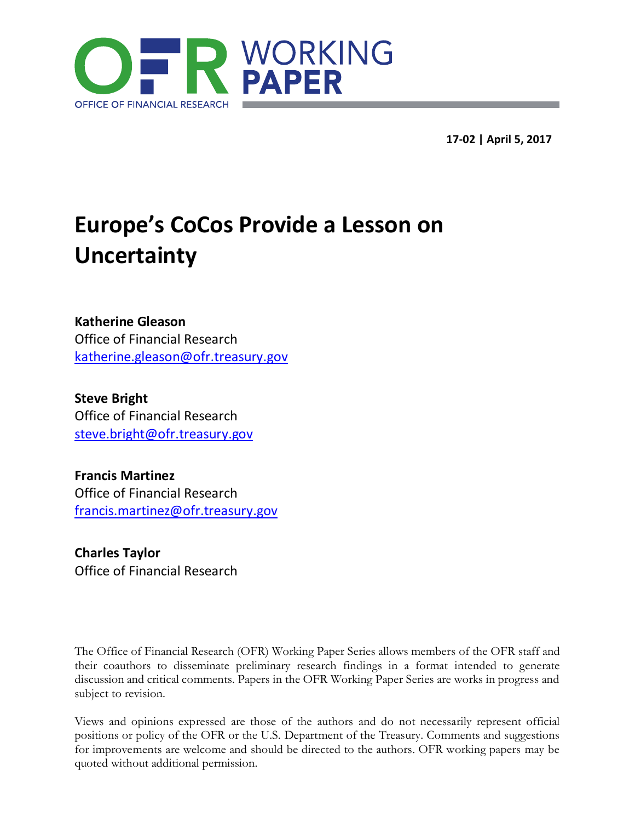

**17-02 | April 5, 2017**

# **Europe's CoCos Provide a Lesson on Uncertainty**

**Katherine Gleason** Office of Financial Research [katherine.gleason@ofr.treasury.gov](mailto:katherine.gleason@ofr.treasury.gov)

**Steve Bright** Office of Financial Research [steve.bright@ofr.treasury.gov](mailto:steve.bright@ofr.treasury.gov)

**Francis Martinez** Office of Financial Research [francis.martinez@ofr.treasury.gov](mailto:francis.martinez@ofr.treasury.gov)

**Charles Taylor** Office of Financial Research

The Office of Financial Research (OFR) Working Paper Series allows members of the OFR staff and their coauthors to disseminate preliminary research findings in a format intended to generate discussion and critical comments. Papers in the OFR Working Paper Series are works in progress and subject to revision.

Views and opinions expressed are those of the authors and do not necessarily represent official positions or policy of the OFR or the U.S. Department of the Treasury. Comments and suggestions for improvements are welcome and should be directed to the authors. OFR working papers may be quoted without additional permission.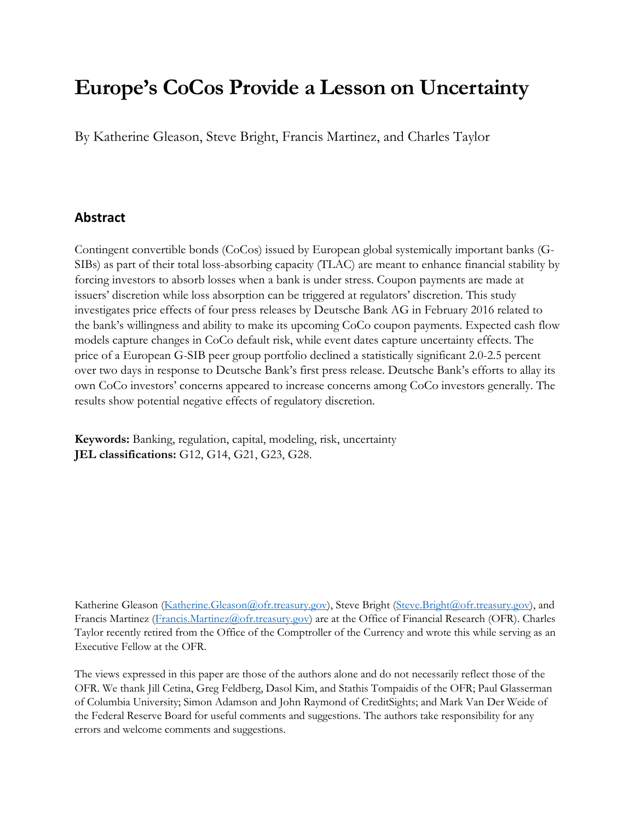## **Europe's CoCos Provide a Lesson on Uncertainty**

By Katherine Gleason, Steve Bright, Francis Martinez, and Charles Taylor

## **Abstract**

Contingent convertible bonds (CoCos) issued by European global systemically important banks (G-SIBs) as part of their total loss-absorbing capacity (TLAC) are meant to enhance financial stability by forcing investors to absorb losses when a bank is under stress. Coupon payments are made at issuers' discretion while loss absorption can be triggered at regulators' discretion. This study investigates price effects of four press releases by Deutsche Bank AG in February 2016 related to the bank's willingness and ability to make its upcoming CoCo coupon payments. Expected cash flow models capture changes in CoCo default risk, while event dates capture uncertainty effects. The price of a European G-SIB peer group portfolio declined a statistically significant 2.0-2.5 percent over two days in response to Deutsche Bank's first press release. Deutsche Bank's efforts to allay its own CoCo investors' concerns appeared to increase concerns among CoCo investors generally. The results show potential negative effects of regulatory discretion.

**Keywords:** Banking, regulation, capital, modeling, risk, uncertainty **JEL classifications:** G12, G14, G21, G23, G28.

Katherine Gleason [\(Katherine.Gleason@ofr.treasury.gov\)](mailto:Katherine.Gleason@ofr.treasury.gov), Steve Bright [\(Steve.Bright@ofr.treasury.gov\)](mailto:Steve.Bright@ofr.treasury.gov), and Francis Martinez [\(Francis.Martinez@ofr.treasury.gov\)](mailto:Francis.Martinez@ofr.treasury.gov) are at the Office of Financial Research (OFR). Charles Taylor recently retired from the Office of the Comptroller of the Currency and wrote this while serving as an Executive Fellow at the OFR.

The views expressed in this paper are those of the authors alone and do not necessarily reflect those of the OFR. We thank Jill Cetina, Greg Feldberg, Dasol Kim, and Stathis Tompaidis of the OFR; Paul Glasserman of Columbia University; Simon Adamson and John Raymond of CreditSights; and Mark Van Der Weide of the Federal Reserve Board for useful comments and suggestions. The authors take responsibility for any errors and welcome comments and suggestions.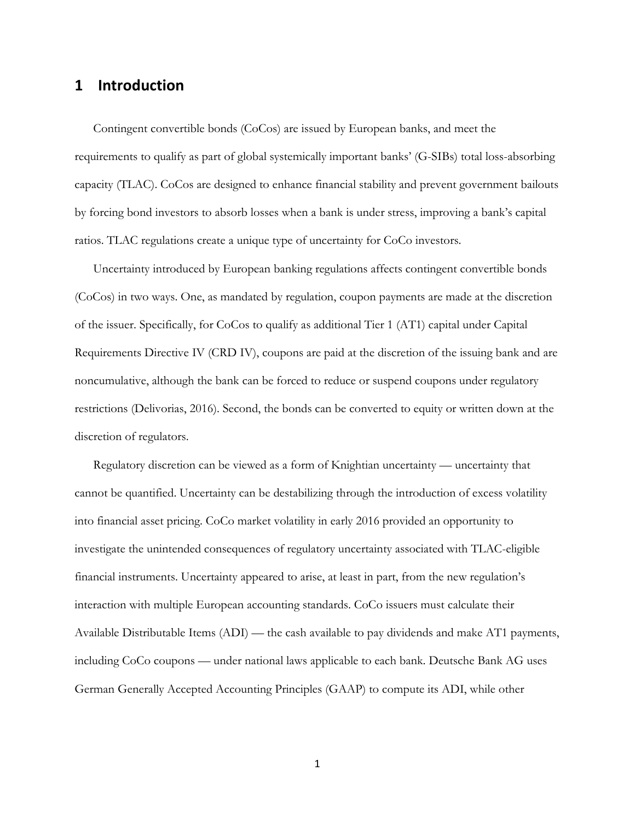### **1 Introduction**

Contingent convertible bonds (CoCos) are issued by European banks, and meet the requirements to qualify as part of global systemically important banks' (G-SIBs) total loss-absorbing capacity (TLAC). CoCos are designed to enhance financial stability and prevent government bailouts by forcing bond investors to absorb losses when a bank is under stress, improving a bank's capital ratios. TLAC regulations create a unique type of uncertainty for CoCo investors.

Uncertainty introduced by European banking regulations affects contingent convertible bonds (CoCos) in two ways. One, as mandated by regulation, coupon payments are made at the discretion of the issuer. Specifically, for CoCos to qualify as additional Tier 1 (AT1) capital under Capital Requirements Directive IV (CRD IV), coupons are paid at the discretion of the issuing bank and are noncumulative, although the bank can be forced to reduce or suspend coupons under regulatory restrictions (Delivorias, 2016). Second, the bonds can be converted to equity or written down at the discretion of regulators.

Regulatory discretion can be viewed as a form of Knightian uncertainty — uncertainty that cannot be quantified. Uncertainty can be destabilizing through the introduction of excess volatility into financial asset pricing. CoCo market volatility in early 2016 provided an opportunity to investigate the unintended consequences of regulatory uncertainty associated with TLAC-eligible financial instruments. Uncertainty appeared to arise, at least in part, from the new regulation's interaction with multiple European accounting standards. CoCo issuers must calculate their Available Distributable Items (ADI) — the cash available to pay dividends and make AT1 payments, including CoCo coupons — under national laws applicable to each bank. Deutsche Bank AG uses German Generally Accepted Accounting Principles (GAAP) to compute its ADI, while other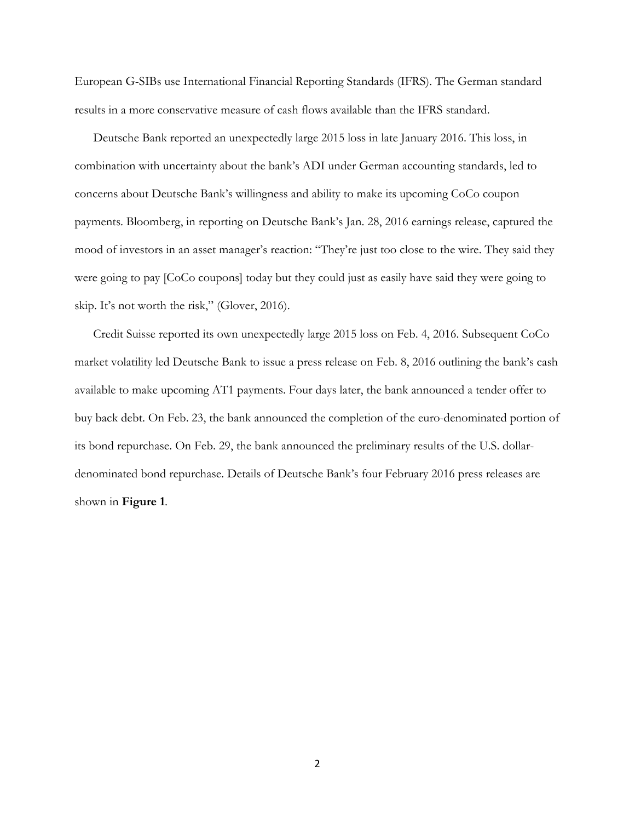European G-SIBs use International Financial Reporting Standards (IFRS). The German standard results in a more conservative measure of cash flows available than the IFRS standard.

Deutsche Bank reported an unexpectedly large 2015 loss in late January 2016. This loss, in combination with uncertainty about the bank's ADI under German accounting standards, led to concerns about Deutsche Bank's willingness and ability to make its upcoming CoCo coupon payments. Bloomberg, in reporting on Deutsche Bank's Jan. 28, 2016 earnings release, captured the mood of investors in an asset manager's reaction: "They're just too close to the wire. They said they were going to pay [CoCo coupons] today but they could just as easily have said they were going to skip. It's not worth the risk," (Glover, 2016).

Credit Suisse reported its own unexpectedly large 2015 loss on Feb. 4, 2016. Subsequent CoCo market volatility led Deutsche Bank to issue a press release on Feb. 8, 2016 outlining the bank's cash available to make upcoming AT1 payments. Four days later, the bank announced a tender offer to buy back debt. On Feb. 23, the bank announced the completion of the euro-denominated portion of its bond repurchase. On Feb. 29, the bank announced the preliminary results of the U.S. dollardenominated bond repurchase. Details of Deutsche Bank's four February 2016 press releases are shown in **Figure 1**.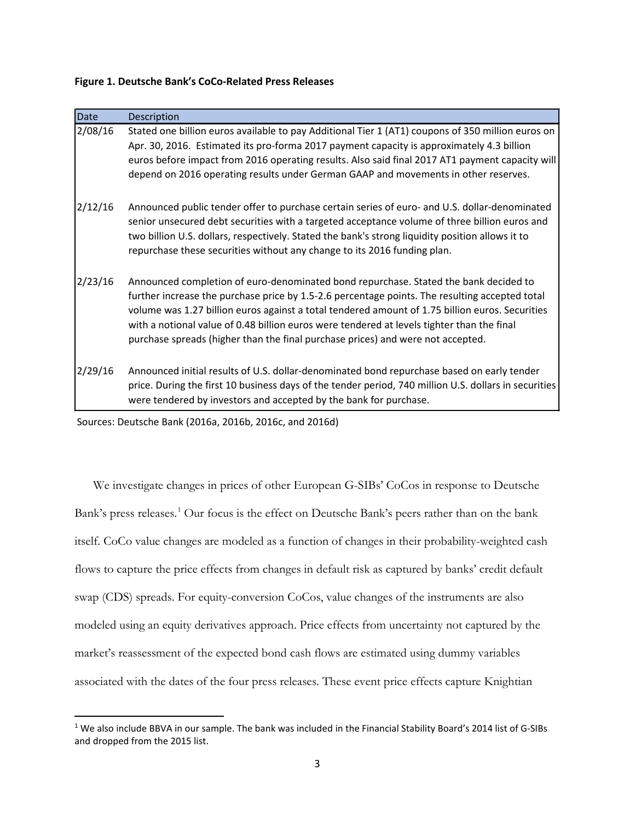#### **Figure 1. Deutsche Bank's CoCo-Related Press Releases**

| Date    | Description                                                                                                                                                                                                                                                                                                                                                                                                                                                                |
|---------|----------------------------------------------------------------------------------------------------------------------------------------------------------------------------------------------------------------------------------------------------------------------------------------------------------------------------------------------------------------------------------------------------------------------------------------------------------------------------|
| 2/08/16 | Stated one billion euros available to pay Additional Tier 1 (AT1) coupons of 350 million euros on<br>Apr. 30, 2016. Estimated its pro-forma 2017 payment capacity is approximately 4.3 billion<br>euros before impact from 2016 operating results. Also said final 2017 AT1 payment capacity will<br>depend on 2016 operating results under German GAAP and movements in other reserves.                                                                                   |
| 2/12/16 | Announced public tender offer to purchase certain series of euro- and U.S. dollar-denominated<br>senior unsecured debt securities with a targeted acceptance volume of three billion euros and<br>two billion U.S. dollars, respectively. Stated the bank's strong liquidity position allows it to<br>repurchase these securities without any change to its 2016 funding plan.                                                                                             |
| 2/23/16 | Announced completion of euro-denominated bond repurchase. Stated the bank decided to<br>further increase the purchase price by 1.5-2.6 percentage points. The resulting accepted total<br>volume was 1.27 billion euros against a total tendered amount of 1.75 billion euros. Securities<br>with a notional value of 0.48 billion euros were tendered at levels tighter than the final<br>purchase spreads (higher than the final purchase prices) and were not accepted. |
| 2/29/16 | Announced initial results of U.S. dollar-denominated bond repurchase based on early tender<br>price. During the first 10 business days of the tender period, 740 million U.S. dollars in securities<br>were tendered by investors and accepted by the bank for purchase.                                                                                                                                                                                                   |

Sources: Deutsche Bank (2016a, 2016b, 2016c, and 2016d)

 $\overline{\phantom{a}}$ 

We investigate changes in prices of other European G-SIBs' CoCos in response to Deutsche Bank's press releases.<sup>[1](#page-4-0)</sup> Our focus is the effect on Deutsche Bank's peers rather than on the bank itself. CoCo value changes are modeled as a function of changes in their probability-weighted cash flows to capture the price effects from changes in default risk as captured by banks' credit default swap (CDS) spreads. For equity-conversion CoCos, value changes of the instruments are also modeled using an equity derivatives approach. Price effects from uncertainty not captured by the market's reassessment of the expected bond cash flows are estimated using dummy variables associated with the dates of the four press releases. These event price effects capture Knightian

<span id="page-4-0"></span><sup>&</sup>lt;sup>1</sup> We also include BBVA in our sample. The bank was included in the Financial Stability Board's 2014 list of G-SIBs and dropped from the 2015 list.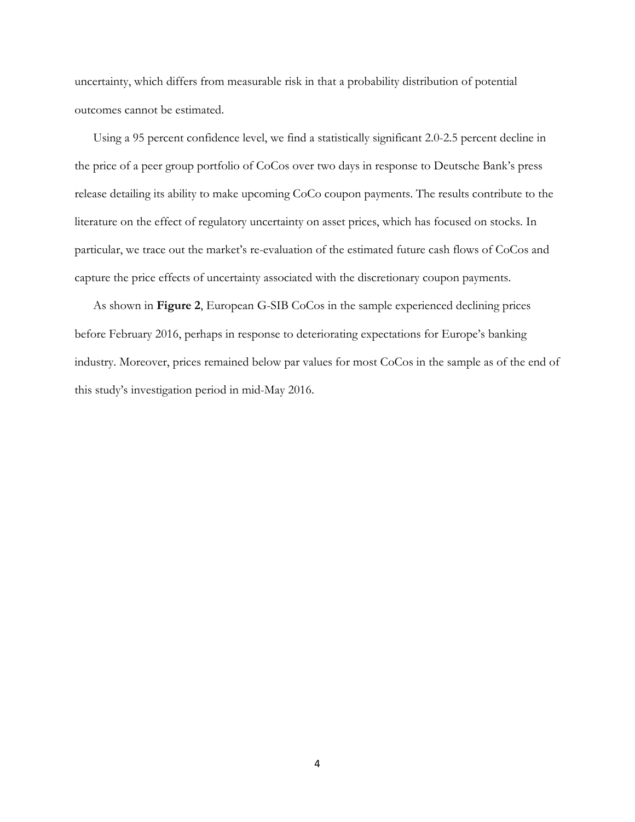uncertainty, which differs from measurable risk in that a probability distribution of potential outcomes cannot be estimated.

Using a 95 percent confidence level, we find a statistically significant 2.0-2.5 percent decline in the price of a peer group portfolio of CoCos over two days in response to Deutsche Bank's press release detailing its ability to make upcoming CoCo coupon payments. The results contribute to the literature on the effect of regulatory uncertainty on asset prices, which has focused on stocks. In particular, we trace out the market's re-evaluation of the estimated future cash flows of CoCos and capture the price effects of uncertainty associated with the discretionary coupon payments.

As shown in **Figure 2**, European G-SIB CoCos in the sample experienced declining prices before February 2016, perhaps in response to deteriorating expectations for Europe's banking industry. Moreover, prices remained below par values for most CoCos in the sample as of the end of this study's investigation period in mid-May 2016.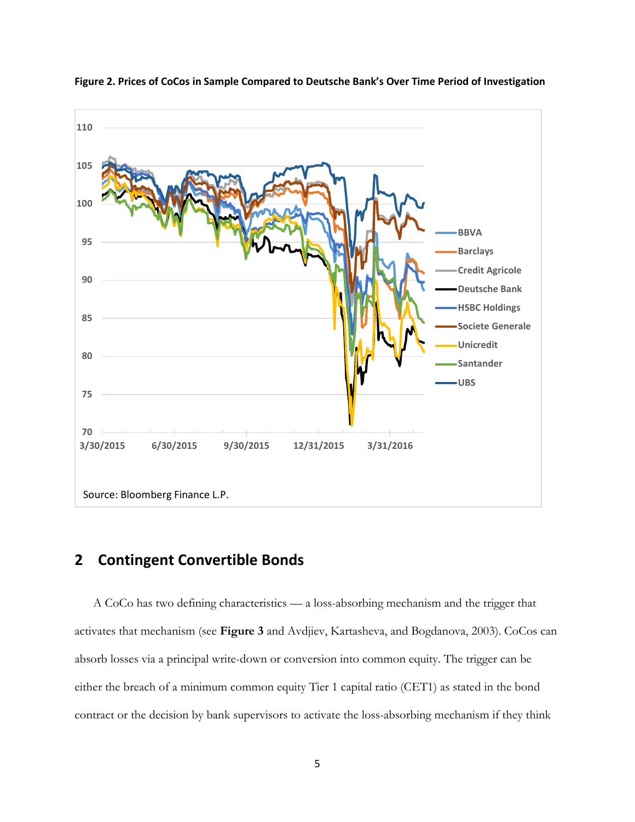

**Figure 2. Prices of CoCos in Sample Compared to Deutsche Bank's Over Time Period of Investigation**

## **2 Contingent Convertible Bonds**

A CoCo has two defining characteristics — a loss-absorbing mechanism and the trigger that activates that mechanism (see **Figure 3** and Avdjiev, Kartasheva, and Bogdanova, 2003). CoCos can absorb losses via a principal write-down or conversion into common equity. The trigger can be either the breach of a minimum common equity Tier 1 capital ratio (CET1) as stated in the bond contract or the decision by bank supervisors to activate the loss-absorbing mechanism if they think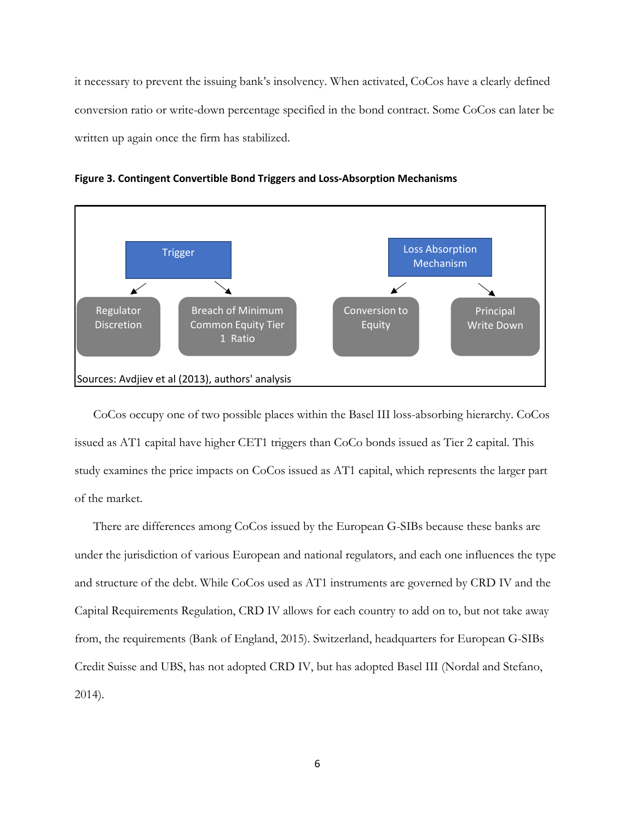it necessary to prevent the issuing bank's insolvency. When activated, CoCos have a clearly defined conversion ratio or write-down percentage specified in the bond contract. Some CoCos can later be written up again once the firm has stabilized.



**Figure 3. Contingent Convertible Bond Triggers and Loss-Absorption Mechanisms**

CoCos occupy one of two possible places within the Basel III loss-absorbing hierarchy. CoCos issued as AT1 capital have higher CET1 triggers than CoCo bonds issued as Tier 2 capital. This study examines the price impacts on CoCos issued as AT1 capital, which represents the larger part of the market.

There are differences among CoCos issued by the European G-SIBs because these banks are under the jurisdiction of various European and national regulators, and each one influences the type and structure of the debt. While CoCos used as AT1 instruments are governed by CRD IV and the Capital Requirements Regulation, CRD IV allows for each country to add on to, but not take away from, the requirements (Bank of England, 2015). Switzerland, headquarters for European G-SIBs Credit Suisse and UBS, has not adopted CRD IV, but has adopted Basel III (Nordal and Stefano, 2014).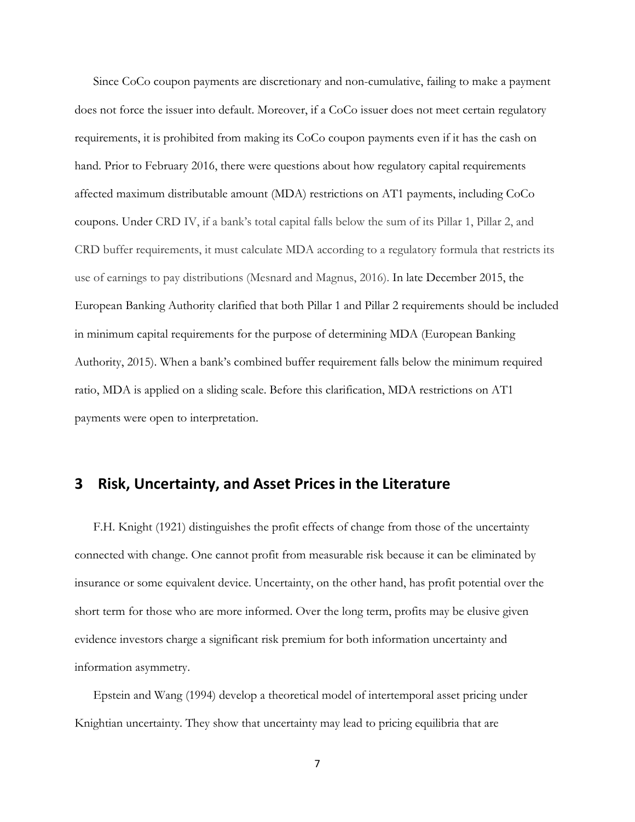Since CoCo coupon payments are discretionary and non-cumulative, failing to make a payment does not force the issuer into default. Moreover, if a CoCo issuer does not meet certain regulatory requirements, it is prohibited from making its CoCo coupon payments even if it has the cash on hand. Prior to February 2016, there were questions about how regulatory capital requirements affected maximum distributable amount (MDA) restrictions on AT1 payments, including CoCo coupons. Under CRD IV, if a bank's total capital falls below the sum of its Pillar 1, Pillar 2, and CRD buffer requirements, it must calculate MDA according to a regulatory formula that restricts its use of earnings to pay distributions (Mesnard and Magnus, 2016). In late December 2015, the European Banking Authority clarified that both Pillar 1 and Pillar 2 requirements should be included in minimum capital requirements for the purpose of determining MDA (European Banking Authority, 2015). When a bank's combined buffer requirement falls below the minimum required ratio, MDA is applied on a sliding scale. Before this clarification, MDA restrictions on AT1 payments were open to interpretation.

## **3 Risk, Uncertainty, and Asset Prices in the Literature**

F.H. Knight (1921) distinguishes the profit effects of change from those of the uncertainty connected with change. One cannot profit from measurable risk because it can be eliminated by insurance or some equivalent device. Uncertainty, on the other hand, has profit potential over the short term for those who are more informed. Over the long term, profits may be elusive given evidence investors charge a significant risk premium for both information uncertainty and information asymmetry.

Epstein and Wang (1994) develop a theoretical model of intertemporal asset pricing under Knightian uncertainty. They show that uncertainty may lead to pricing equilibria that are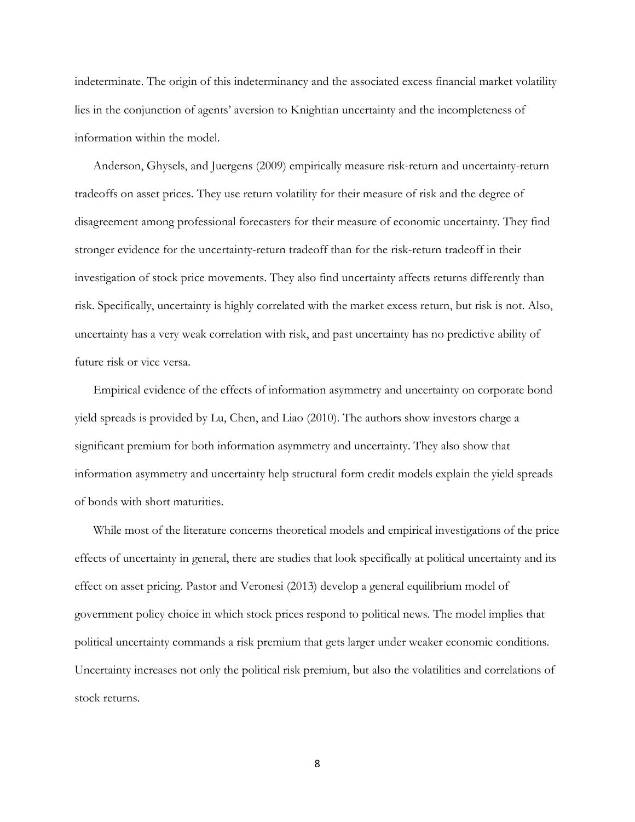indeterminate. The origin of this indeterminancy and the associated excess financial market volatility lies in the conjunction of agents' aversion to Knightian uncertainty and the incompleteness of information within the model.

Anderson, Ghysels, and Juergens (2009) empirically measure risk-return and uncertainty-return tradeoffs on asset prices. They use return volatility for their measure of risk and the degree of disagreement among professional forecasters for their measure of economic uncertainty. They find stronger evidence for the uncertainty-return tradeoff than for the risk-return tradeoff in their investigation of stock price movements. They also find uncertainty affects returns differently than risk. Specifically, uncertainty is highly correlated with the market excess return, but risk is not. Also, uncertainty has a very weak correlation with risk, and past uncertainty has no predictive ability of future risk or vice versa.

Empirical evidence of the effects of information asymmetry and uncertainty on corporate bond yield spreads is provided by Lu, Chen, and Liao (2010). The authors show investors charge a significant premium for both information asymmetry and uncertainty. They also show that information asymmetry and uncertainty help structural form credit models explain the yield spreads of bonds with short maturities.

While most of the literature concerns theoretical models and empirical investigations of the price effects of uncertainty in general, there are studies that look specifically at political uncertainty and its effect on asset pricing. Pastor and Veronesi (2013) develop a general equilibrium model of government policy choice in which stock prices respond to political news. The model implies that political uncertainty commands a risk premium that gets larger under weaker economic conditions. Uncertainty increases not only the political risk premium, but also the volatilities and correlations of stock returns.

8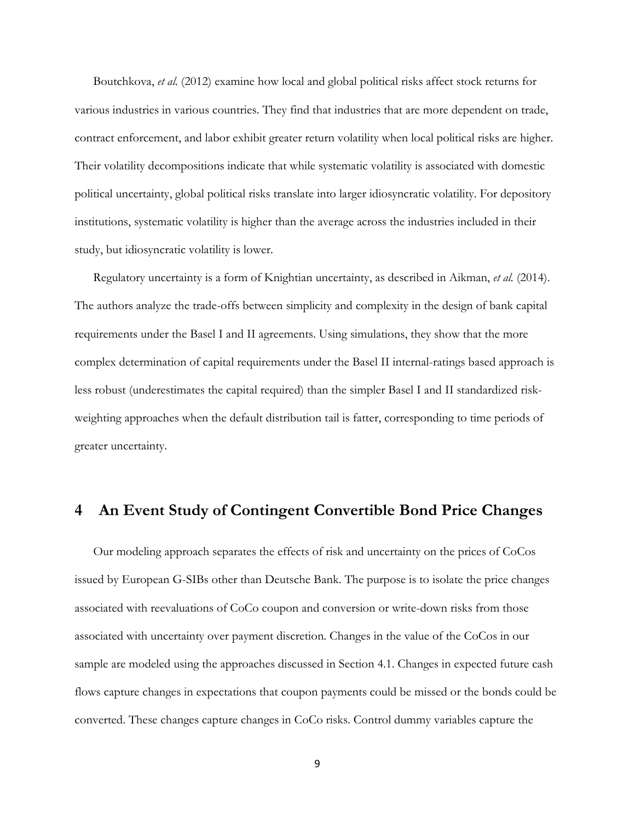Boutchkova, *et al.* (2012) examine how local and global political risks affect stock returns for various industries in various countries. They find that industries that are more dependent on trade, contract enforcement, and labor exhibit greater return volatility when local political risks are higher. Their volatility decompositions indicate that while systematic volatility is associated with domestic political uncertainty, global political risks translate into larger idiosyncratic volatility. For depository institutions, systematic volatility is higher than the average across the industries included in their study, but idiosyncratic volatility is lower.

Regulatory uncertainty is a form of Knightian uncertainty, as described in Aikman, *et al.* (2014). The authors analyze the trade-offs between simplicity and complexity in the design of bank capital requirements under the Basel I and II agreements. Using simulations, they show that the more complex determination of capital requirements under the Basel II internal-ratings based approach is less robust (underestimates the capital required) than the simpler Basel I and II standardized riskweighting approaches when the default distribution tail is fatter, corresponding to time periods of greater uncertainty.

## **4 An Event Study of Contingent Convertible Bond Price Changes**

Our modeling approach separates the effects of risk and uncertainty on the prices of CoCos issued by European G-SIBs other than Deutsche Bank. The purpose is to isolate the price changes associated with reevaluations of CoCo coupon and conversion or write-down risks from those associated with uncertainty over payment discretion. Changes in the value of the CoCos in our sample are modeled using the approaches discussed in Section 4.1. Changes in expected future cash flows capture changes in expectations that coupon payments could be missed or the bonds could be converted. These changes capture changes in CoCo risks. Control dummy variables capture the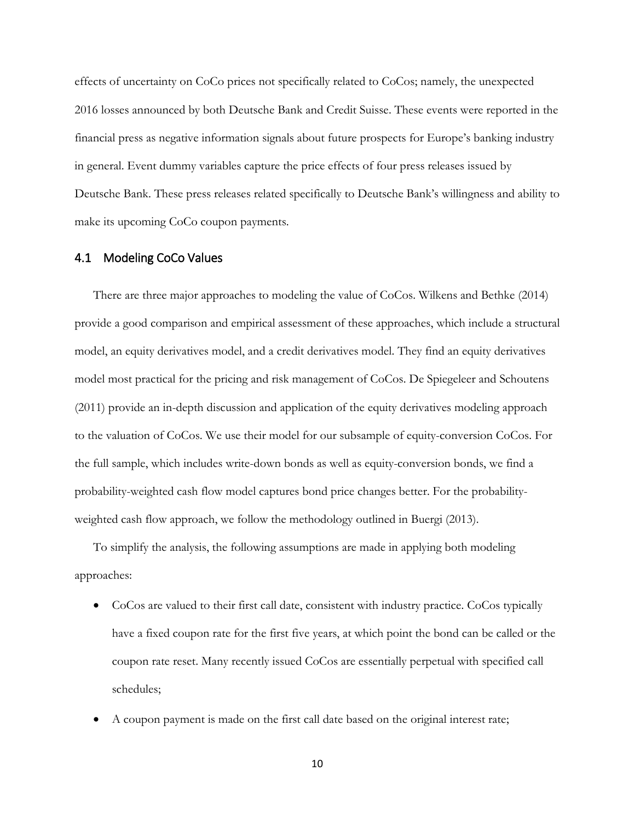effects of uncertainty on CoCo prices not specifically related to CoCos; namely, the unexpected 2016 losses announced by both Deutsche Bank and Credit Suisse. These events were reported in the financial press as negative information signals about future prospects for Europe's banking industry in general. Event dummy variables capture the price effects of four press releases issued by Deutsche Bank. These press releases related specifically to Deutsche Bank's willingness and ability to make its upcoming CoCo coupon payments.

#### 4.1 Modeling CoCo Values

There are three major approaches to modeling the value of CoCos. Wilkens and Bethke (2014) provide a good comparison and empirical assessment of these approaches, which include a structural model, an equity derivatives model, and a credit derivatives model. They find an equity derivatives model most practical for the pricing and risk management of CoCos. De Spiegeleer and Schoutens (2011) provide an in-depth discussion and application of the equity derivatives modeling approach to the valuation of CoCos. We use their model for our subsample of equity-conversion CoCos. For the full sample, which includes write-down bonds as well as equity-conversion bonds, we find a probability-weighted cash flow model captures bond price changes better. For the probabilityweighted cash flow approach, we follow the methodology outlined in Buergi (2013).

To simplify the analysis, the following assumptions are made in applying both modeling approaches:

- CoCos are valued to their first call date, consistent with industry practice. CoCos typically have a fixed coupon rate for the first five years, at which point the bond can be called or the coupon rate reset. Many recently issued CoCos are essentially perpetual with specified call schedules;
- A coupon payment is made on the first call date based on the original interest rate;

10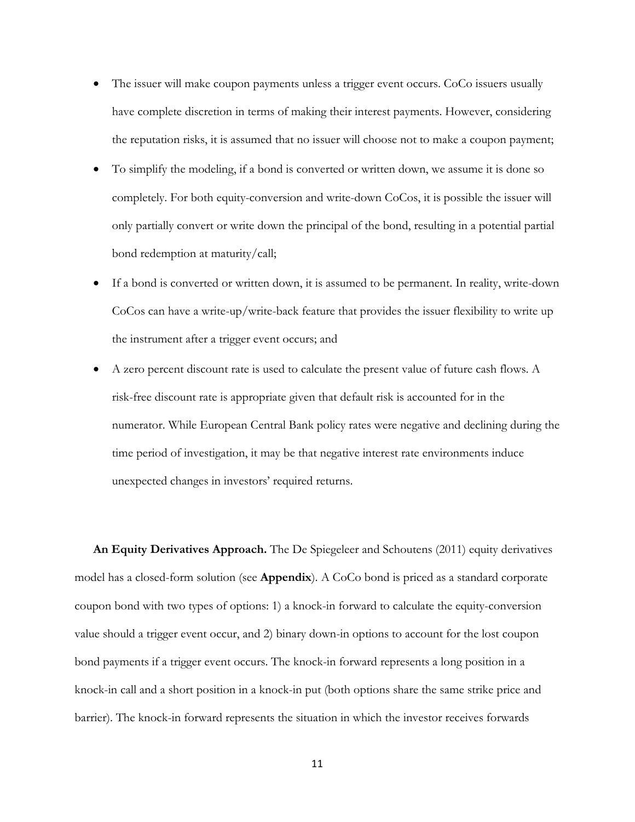- The issuer will make coupon payments unless a trigger event occurs. CoCo issuers usually have complete discretion in terms of making their interest payments. However, considering the reputation risks, it is assumed that no issuer will choose not to make a coupon payment;
- To simplify the modeling, if a bond is converted or written down, we assume it is done so completely. For both equity-conversion and write-down CoCos, it is possible the issuer will only partially convert or write down the principal of the bond, resulting in a potential partial bond redemption at maturity/call;
- If a bond is converted or written down, it is assumed to be permanent. In reality, write-down CoCos can have a write-up/write-back feature that provides the issuer flexibility to write up the instrument after a trigger event occurs; and
- A zero percent discount rate is used to calculate the present value of future cash flows. A risk-free discount rate is appropriate given that default risk is accounted for in the numerator. While European Central Bank policy rates were negative and declining during the time period of investigation, it may be that negative interest rate environments induce unexpected changes in investors' required returns.

**An Equity Derivatives Approach.** The De Spiegeleer and Schoutens (2011) equity derivatives model has a closed-form solution (see **Appendix**). A CoCo bond is priced as a standard corporate coupon bond with two types of options: 1) a knock-in forward to calculate the equity-conversion value should a trigger event occur, and 2) binary down-in options to account for the lost coupon bond payments if a trigger event occurs. The knock-in forward represents a long position in a knock-in call and a short position in a knock-in put (both options share the same strike price and barrier). The knock-in forward represents the situation in which the investor receives forwards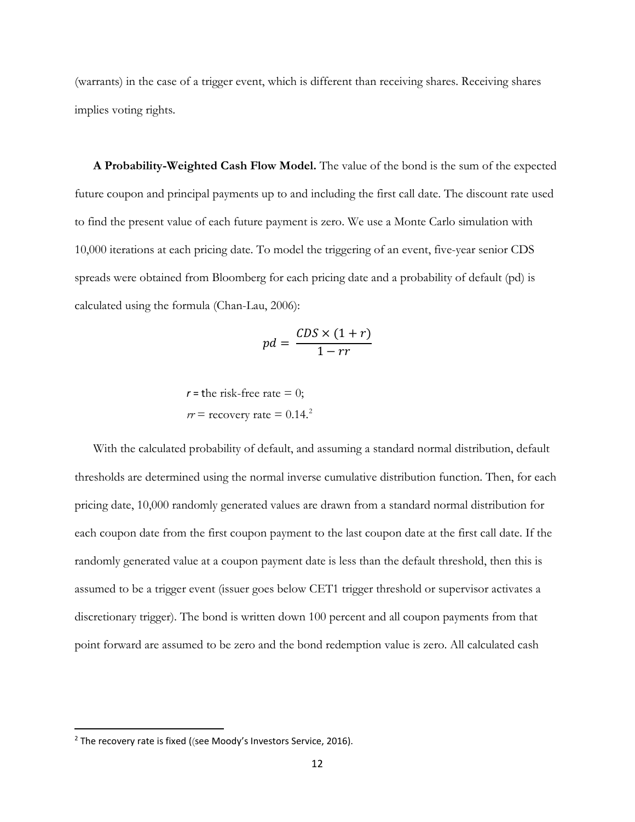(warrants) in the case of a trigger event, which is different than receiving shares. Receiving shares implies voting rights.

**A Probability-Weighted Cash Flow Model.** The value of the bond is the sum of the expected future coupon and principal payments up to and including the first call date. The discount rate used to find the present value of each future payment is zero. We use a Monte Carlo simulation with 10,000 iterations at each pricing date. To model the triggering of an event, five-year senior CDS spreads were obtained from Bloomberg for each pricing date and a probability of default (pd) is calculated using the formula (Chan-Lau, 2006):

$$
pd = \frac{CDS \times (1+r)}{1-rr}
$$

$$
r
$$
 = the risk-free rate = 0;  
 $r$  = recovery rate = 0.14.<sup>2</sup>

With the calculated probability of default, and assuming a standard normal distribution, default thresholds are determined using the normal inverse cumulative distribution function. Then, for each pricing date, 10,000 randomly generated values are drawn from a standard normal distribution for each coupon date from the first coupon payment to the last coupon date at the first call date. If the randomly generated value at a coupon payment date is less than the default threshold, then this is assumed to be a trigger event (issuer goes below CET1 trigger threshold or supervisor activates a discretionary trigger). The bond is written down 100 percent and all coupon payments from that point forward are assumed to be zero and the bond redemption value is zero. All calculated cash

l

<span id="page-13-0"></span> $2$  The recovery rate is fixed ((see Moody's Investors Service, 2016).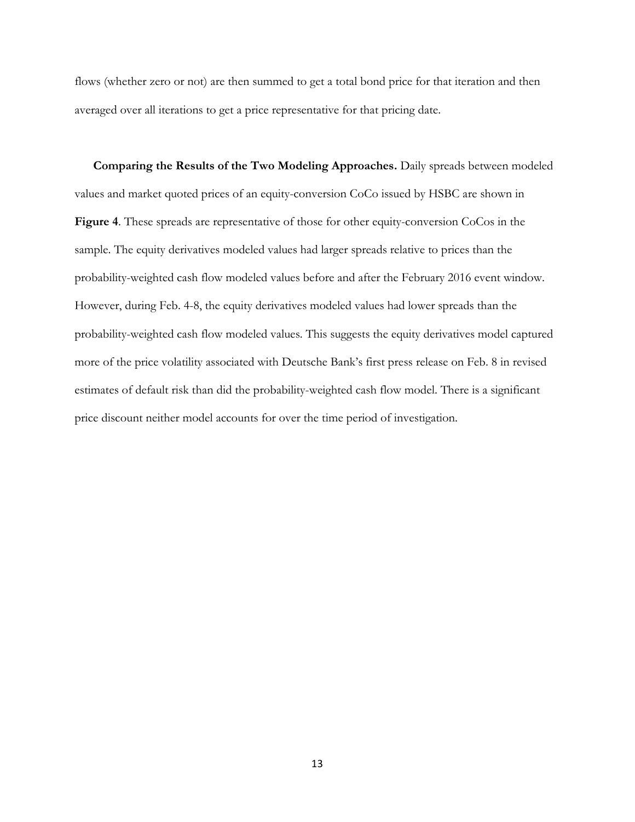flows (whether zero or not) are then summed to get a total bond price for that iteration and then averaged over all iterations to get a price representative for that pricing date.

**Comparing the Results of the Two Modeling Approaches.** Daily spreads between modeled values and market quoted prices of an equity-conversion CoCo issued by HSBC are shown in **Figure 4**. These spreads are representative of those for other equity-conversion CoCos in the sample. The equity derivatives modeled values had larger spreads relative to prices than the probability-weighted cash flow modeled values before and after the February 2016 event window. However, during Feb. 4-8, the equity derivatives modeled values had lower spreads than the probability-weighted cash flow modeled values. This suggests the equity derivatives model captured more of the price volatility associated with Deutsche Bank's first press release on Feb. 8 in revised estimates of default risk than did the probability-weighted cash flow model. There is a significant price discount neither model accounts for over the time period of investigation.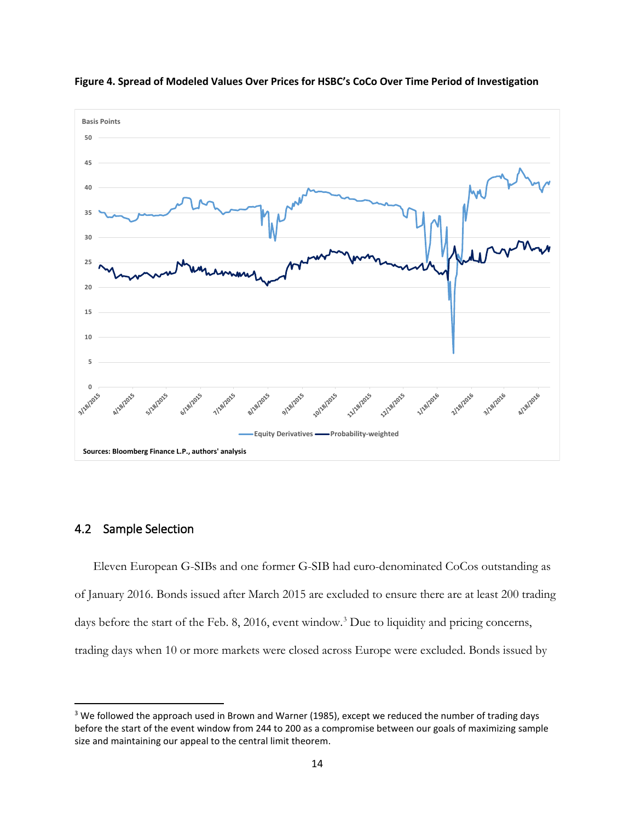

**Figure 4. Spread of Modeled Values Over Prices for HSBC's CoCo Over Time Period of Investigation**

#### 4.2 Sample Selection

l

Eleven European G-SIBs and one former G-SIB had euro-denominated CoCos outstanding as of January 2016. Bonds issued after March 2015 are excluded to ensure there are at least 200 trading days before the start of the Feb. 8, 2016, event window.<sup>[3](#page-15-0)</sup> Due to liquidity and pricing concerns, trading days when 10 or more markets were closed across Europe were excluded. Bonds issued by

<span id="page-15-0"></span><sup>&</sup>lt;sup>3</sup> We followed the approach used in Brown and Warner (1985), except we reduced the number of trading days before the start of the event window from 244 to 200 as a compromise between our goals of maximizing sample size and maintaining our appeal to the central limit theorem.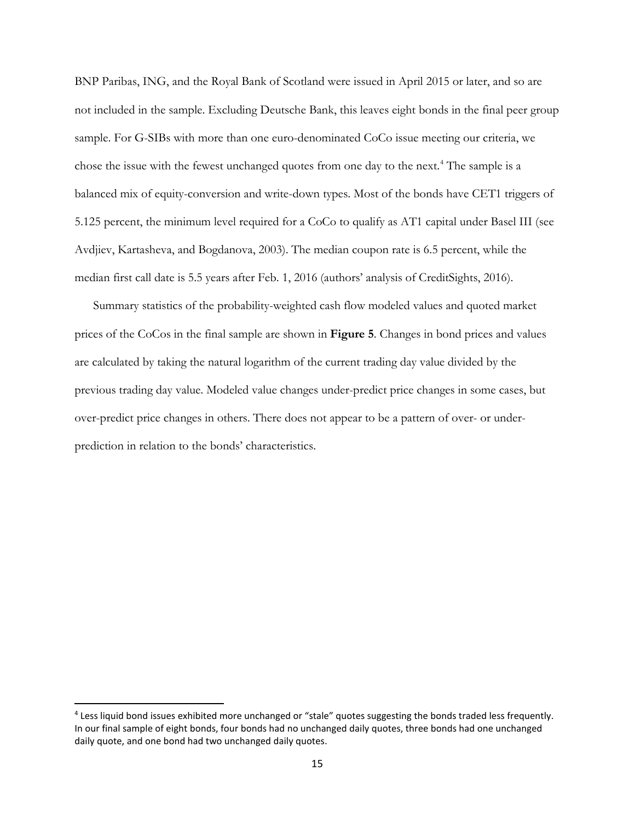BNP Paribas, ING, and the Royal Bank of Scotland were issued in April 2015 or later, and so are not included in the sample. Excluding Deutsche Bank, this leaves eight bonds in the final peer group sample. For G-SIBs with more than one euro-denominated CoCo issue meeting our criteria, we chose the issue with the fewest unchanged quotes from one day to the next.<sup>[4](#page-16-0)</sup> The sample is a balanced mix of equity-conversion and write-down types. Most of the bonds have CET1 triggers of 5.125 percent, the minimum level required for a CoCo to qualify as AT1 capital under Basel III (see Avdjiev, Kartasheva, and Bogdanova, 2003). The median coupon rate is 6.5 percent, while the median first call date is 5.5 years after Feb. 1, 2016 (authors' analysis of CreditSights, 2016).

Summary statistics of the probability-weighted cash flow modeled values and quoted market prices of the CoCos in the final sample are shown in **Figure 5**. Changes in bond prices and values are calculated by taking the natural logarithm of the current trading day value divided by the previous trading day value. Modeled value changes under-predict price changes in some cases, but over-predict price changes in others. There does not appear to be a pattern of over- or underprediction in relation to the bonds' characteristics.

<span id="page-16-0"></span> <sup>4</sup> Less liquid bond issues exhibited more unchanged or "stale" quotes suggesting the bonds traded less frequently. In our final sample of eight bonds, four bonds had no unchanged daily quotes, three bonds had one unchanged daily quote, and one bond had two unchanged daily quotes.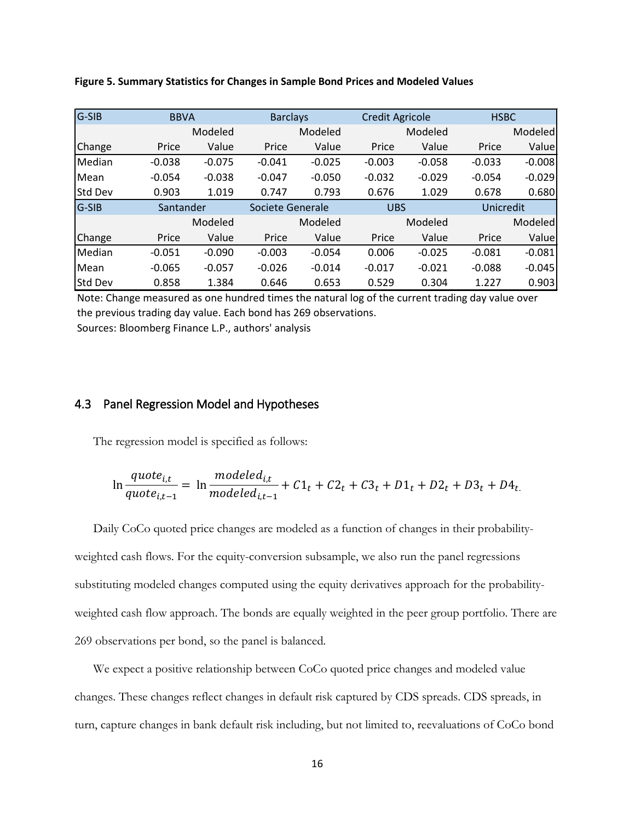| <b>G-SIB</b> | <b>BBVA</b> |          | <b>Barclays</b>  |          | <b>Credit Agricole</b> |          | <b>HSBC</b> |          |  |
|--------------|-------------|----------|------------------|----------|------------------------|----------|-------------|----------|--|
|              | Modeled     |          | Modeled          |          |                        | Modeled  | Modeled     |          |  |
| Change       | Price       | Value    | Price            | Value    | Price                  | Value    | Price       | Value    |  |
| Median       | $-0.038$    | $-0.075$ | $-0.041$         | $-0.025$ | $-0.003$               | $-0.058$ | $-0.033$    | $-0.008$ |  |
| Mean         | $-0.054$    | $-0.038$ | $-0.047$         | $-0.050$ | $-0.032$               | $-0.029$ | $-0.054$    | $-0.029$ |  |
| Std Dev      | 0.903       | 1.019    | 0.747            | 0.793    | 0.676                  | 1.029    | 0.678       | 0.680    |  |
| <b>G-SIB</b> | Santander   |          | Societe Generale |          | <b>UBS</b>             |          | Unicredit   |          |  |
|              | Modeled     |          | Modeled          |          | Modeled                |          | Modeled     |          |  |
| Change       | Price       | Value    | Price            | Value    | Price                  | Value    | Price       | Value    |  |
| Median       | $-0.051$    | $-0.090$ | $-0.003$         | $-0.054$ | 0.006                  | $-0.025$ | $-0.081$    | $-0.081$ |  |
| Mean         | $-0.065$    | $-0.057$ | $-0.026$         | $-0.014$ | $-0.017$               | $-0.021$ | $-0.088$    | $-0.045$ |  |
|              |             |          |                  |          |                        |          |             |          |  |

**Figure 5. Summary Statistics for Changes in Sample Bond Prices and Modeled Values**

Note: Change measured as one hundred times the natural log of the current trading day value over the previous trading day value. Each bond has 269 observations. Sources: Bloomberg Finance L.P., authors' analysis

#### 4.3 Panel Regression Model and Hypotheses

The regression model is specified as follows:

$$
\ln \frac{quote_{i,t}}{quote_{i,t-1}} = \ln \frac{modeled_{i,t}}{modeled_{i,t-1}} + C1_t + C2_t + C3_t + D1_t + D2_t + D3_t + D4_t.
$$

Daily CoCo quoted price changes are modeled as a function of changes in their probabilityweighted cash flows. For the equity-conversion subsample, we also run the panel regressions substituting modeled changes computed using the equity derivatives approach for the probabilityweighted cash flow approach. The bonds are equally weighted in the peer group portfolio. There are 269 observations per bond, so the panel is balanced.

We expect a positive relationship between CoCo quoted price changes and modeled value changes. These changes reflect changes in default risk captured by CDS spreads. CDS spreads, in turn, capture changes in bank default risk including, but not limited to, reevaluations of CoCo bond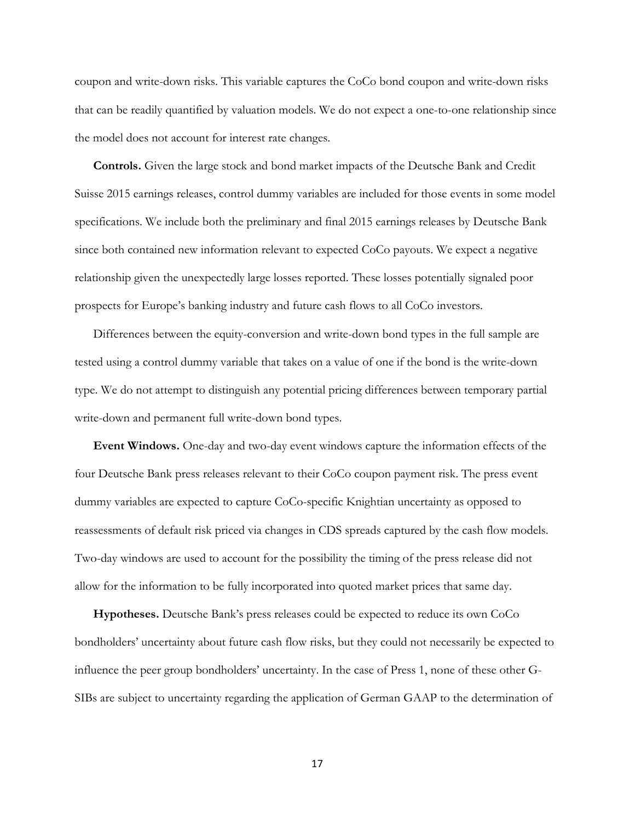coupon and write-down risks. This variable captures the CoCo bond coupon and write-down risks that can be readily quantified by valuation models. We do not expect a one-to-one relationship since the model does not account for interest rate changes.

**Controls.** Given the large stock and bond market impacts of the Deutsche Bank and Credit Suisse 2015 earnings releases, control dummy variables are included for those events in some model specifications. We include both the preliminary and final 2015 earnings releases by Deutsche Bank since both contained new information relevant to expected CoCo payouts. We expect a negative relationship given the unexpectedly large losses reported. These losses potentially signaled poor prospects for Europe's banking industry and future cash flows to all CoCo investors.

Differences between the equity-conversion and write-down bond types in the full sample are tested using a control dummy variable that takes on a value of one if the bond is the write-down type. We do not attempt to distinguish any potential pricing differences between temporary partial write-down and permanent full write-down bond types.

**Event Windows.** One-day and two-day event windows capture the information effects of the four Deutsche Bank press releases relevant to their CoCo coupon payment risk. The press event dummy variables are expected to capture CoCo-specific Knightian uncertainty as opposed to reassessments of default risk priced via changes in CDS spreads captured by the cash flow models. Two-day windows are used to account for the possibility the timing of the press release did not allow for the information to be fully incorporated into quoted market prices that same day.

**Hypotheses.** Deutsche Bank's press releases could be expected to reduce its own CoCo bondholders' uncertainty about future cash flow risks, but they could not necessarily be expected to influence the peer group bondholders' uncertainty. In the case of Press 1, none of these other G-SIBs are subject to uncertainty regarding the application of German GAAP to the determination of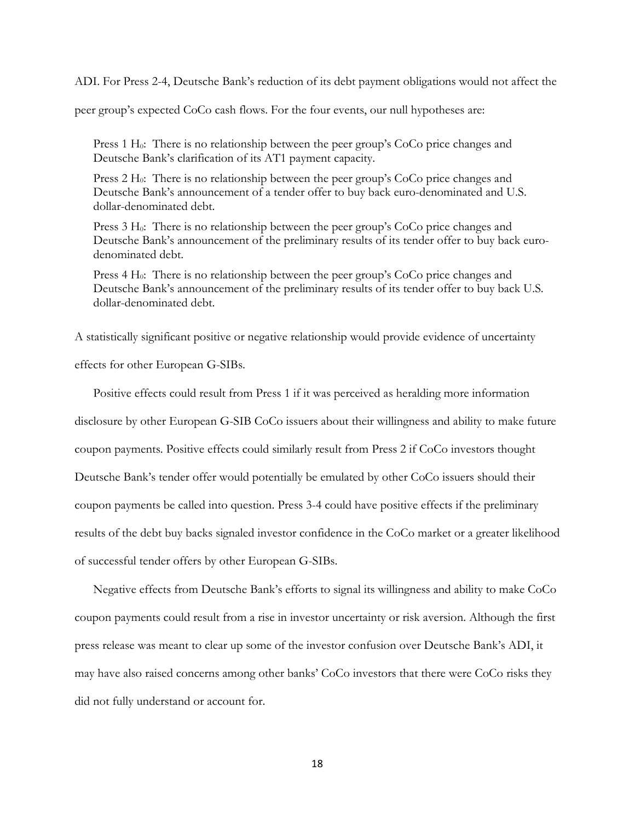ADI. For Press 2-4, Deutsche Bank's reduction of its debt payment obligations would not affect the

peer group's expected CoCo cash flows. For the four events, our null hypotheses are:

Press 1  $H_0$ : There is no relationship between the peer group's CoCo price changes and Deutsche Bank's clarification of its AT1 payment capacity.

Press 2 H<sub>0</sub>: There is no relationship between the peer group's CoCo price changes and Deutsche Bank's announcement of a tender offer to buy back euro-denominated and U.S. dollar-denominated debt.

Press 3 H<sub>0</sub>: There is no relationship between the peer group's CoCo price changes and Deutsche Bank's announcement of the preliminary results of its tender offer to buy back eurodenominated debt.

Press 4 H<sub>0</sub>: There is no relationship between the peer group's CoCo price changes and Deutsche Bank's announcement of the preliminary results of its tender offer to buy back U.S. dollar-denominated debt.

A statistically significant positive or negative relationship would provide evidence of uncertainty

effects for other European G-SIBs.

Positive effects could result from Press 1 if it was perceived as heralding more information disclosure by other European G-SIB CoCo issuers about their willingness and ability to make future coupon payments. Positive effects could similarly result from Press 2 if CoCo investors thought Deutsche Bank's tender offer would potentially be emulated by other CoCo issuers should their coupon payments be called into question. Press 3-4 could have positive effects if the preliminary results of the debt buy backs signaled investor confidence in the CoCo market or a greater likelihood of successful tender offers by other European G-SIBs.

Negative effects from Deutsche Bank's efforts to signal its willingness and ability to make CoCo coupon payments could result from a rise in investor uncertainty or risk aversion. Although the first press release was meant to clear up some of the investor confusion over Deutsche Bank's ADI, it may have also raised concerns among other banks' CoCo investors that there were CoCo risks they did not fully understand or account for.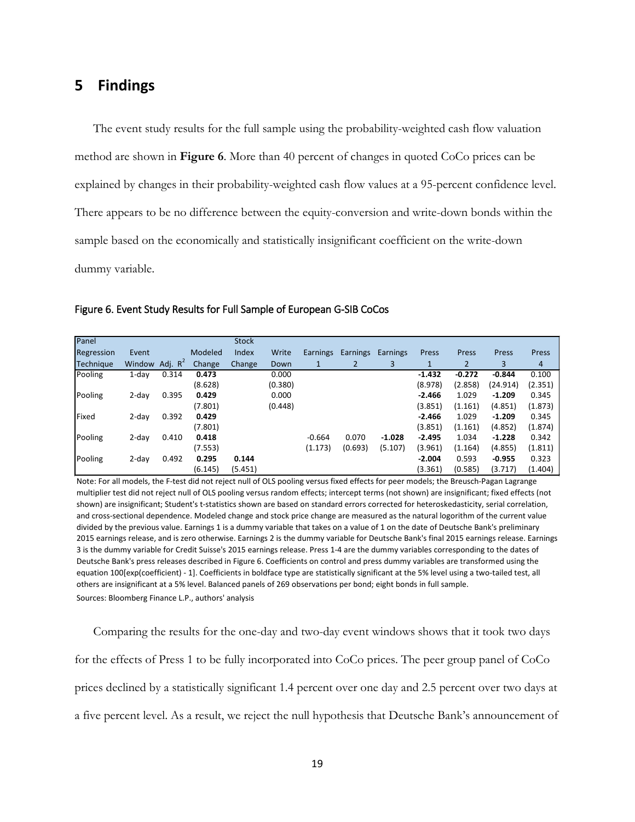## **5 Findings**

The event study results for the full sample using the probability-weighted cash flow valuation method are shown in **Figure 6**. More than 40 percent of changes in quoted CoCo prices can be explained by changes in their probability-weighted cash flow values at a 95-percent confidence level. There appears to be no difference between the equity-conversion and write-down bonds within the sample based on the economically and statistically insignificant coefficient on the write-down dummy variable.

| Panel             |          |            |         | <b>Stock</b> |         |          |          |          |          |          |          |                |
|-------------------|----------|------------|---------|--------------|---------|----------|----------|----------|----------|----------|----------|----------------|
| <b>Regression</b> | Event    |            | Modeled | Index        | Write   | Earnings | Earnings | Earnings | Press    | Press    | Press    | Press          |
| Technique         | Window   | Adj. $R^2$ | Change  | Change       | Down    | 1        | 2        | 3        |          | 2        | 3        | $\overline{4}$ |
| Pooling           | $1$ -dav | 0.314      | 0.473   |              | 0.000   |          |          |          | $-1.432$ | $-0.272$ | $-0.844$ | 0.100          |
|                   |          |            | (8.628) |              | (0.380) |          |          |          | (8.978)  | (2.858)  | (24.914) | (2.351)        |
| Pooling           | $2$ -day | 0.395      | 0.429   |              | 0.000   |          |          |          | $-2.466$ | 1.029    | $-1.209$ | 0.345          |
|                   |          |            | (7.801) |              | (0.448) |          |          |          | (3.851)  | (1.161)  | (4.851)  | (1.873)        |
| <b>Fixed</b>      | 2-day    | 0.392      | 0.429   |              |         |          |          |          | $-2.466$ | 1.029    | $-1.209$ | 0.345          |
|                   |          |            | (7.801) |              |         |          |          |          | (3.851)  | (1.161)  | (4.852)  | (1.874)        |
| Pooling           | 2-day    | 0.410      | 0.418   |              |         | $-0.664$ | 0.070    | $-1.028$ | $-2.495$ | 1.034    | $-1.228$ | 0.342          |
|                   |          |            | (7.553) |              |         | (1.173)  | (0.693)  | (5.107)  | (3.961)  | (1.164)  | (4.855)  | (1.811)        |
| Pooling           | 2-day    | 0.492      | 0.295   | 0.144        |         |          |          |          | $-2.004$ | 0.593    | $-0.955$ | 0.323          |
|                   |          |            | (6.145) | (5.451)      |         |          |          |          | (3.361)  | (0.585)  | (3.717)  | (1.404)        |

Figure 6. Event Study Results for Full Sample of European G-SIB CoCos

Sources: Bloomberg Finance L.P., authors' analysis Note: For all models, the F-test did not reject null of OLS pooling versus fixed effects for peer models; the Breusch-Pagan Lagrange multiplier test did not reject null of OLS pooling versus random effects; intercept terms (not shown) are insignificant; fixed effects (not shown) are insignificant; Student's t-statistics shown are based on standard errors corrected for heteroskedasticity, serial correlation, and cross-sectional dependence. Modeled change and stock price change are measured as the natural logorithm of the current value divided by the previous value. Earnings 1 is a dummy variable that takes on a value of 1 on the date of Deutsche Bank's preliminary 2015 earnings release, and is zero otherwise. Earnings 2 is the dummy variable for Deutsche Bank's final 2015 earnings release. Earnings 3 is the dummy variable for Credit Suisse's 2015 earnings release. Press 1-4 are the dummy variables corresponding to the dates of Deutsche Bank's press releases described in Figure 6. Coefficients on control and press dummy variables are transformed using the equation 100[exp(coefficient) - 1]. Coefficients in boldface type are statistically significant at the 5% level using a two-tailed test, all others are insignificant at a 5% level. Balanced panels of 269 observations per bond; eight bonds in full sample.

Comparing the results for the one-day and two-day event windows shows that it took two days for the effects of Press 1 to be fully incorporated into CoCo prices. The peer group panel of CoCo prices declined by a statistically significant 1.4 percent over one day and 2.5 percent over two days at a five percent level. As a result, we reject the null hypothesis that Deutsche Bank's announcement of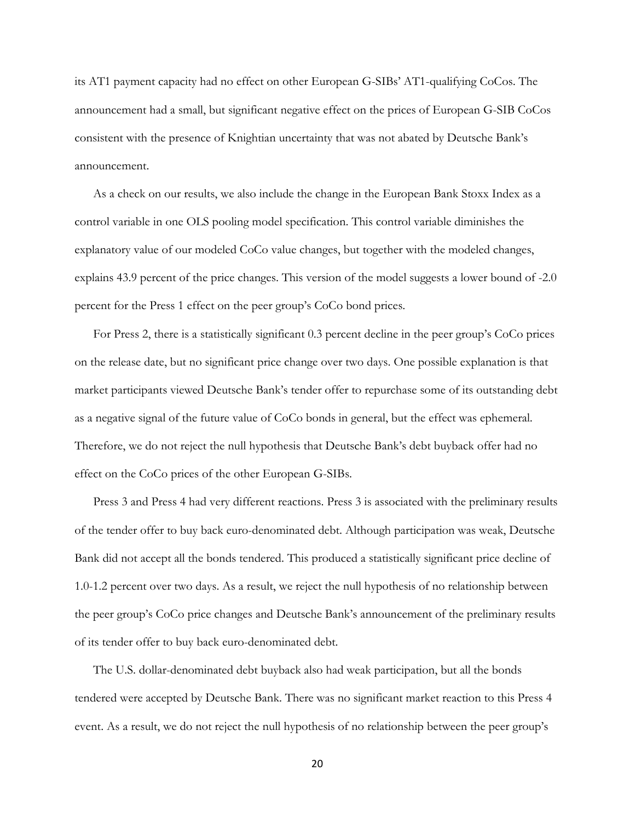its AT1 payment capacity had no effect on other European G-SIBs' AT1-qualifying CoCos. The announcement had a small, but significant negative effect on the prices of European G-SIB CoCos consistent with the presence of Knightian uncertainty that was not abated by Deutsche Bank's announcement.

As a check on our results, we also include the change in the European Bank Stoxx Index as a control variable in one OLS pooling model specification. This control variable diminishes the explanatory value of our modeled CoCo value changes, but together with the modeled changes, explains 43.9 percent of the price changes. This version of the model suggests a lower bound of -2.0 percent for the Press 1 effect on the peer group's CoCo bond prices.

For Press 2, there is a statistically significant 0.3 percent decline in the peer group's CoCo prices on the release date, but no significant price change over two days. One possible explanation is that market participants viewed Deutsche Bank's tender offer to repurchase some of its outstanding debt as a negative signal of the future value of CoCo bonds in general, but the effect was ephemeral. Therefore, we do not reject the null hypothesis that Deutsche Bank's debt buyback offer had no effect on the CoCo prices of the other European G-SIBs.

Press 3 and Press 4 had very different reactions. Press 3 is associated with the preliminary results of the tender offer to buy back euro-denominated debt. Although participation was weak, Deutsche Bank did not accept all the bonds tendered. This produced a statistically significant price decline of 1.0-1.2 percent over two days. As a result, we reject the null hypothesis of no relationship between the peer group's CoCo price changes and Deutsche Bank's announcement of the preliminary results of its tender offer to buy back euro-denominated debt.

The U.S. dollar-denominated debt buyback also had weak participation, but all the bonds tendered were accepted by Deutsche Bank. There was no significant market reaction to this Press 4 event. As a result, we do not reject the null hypothesis of no relationship between the peer group's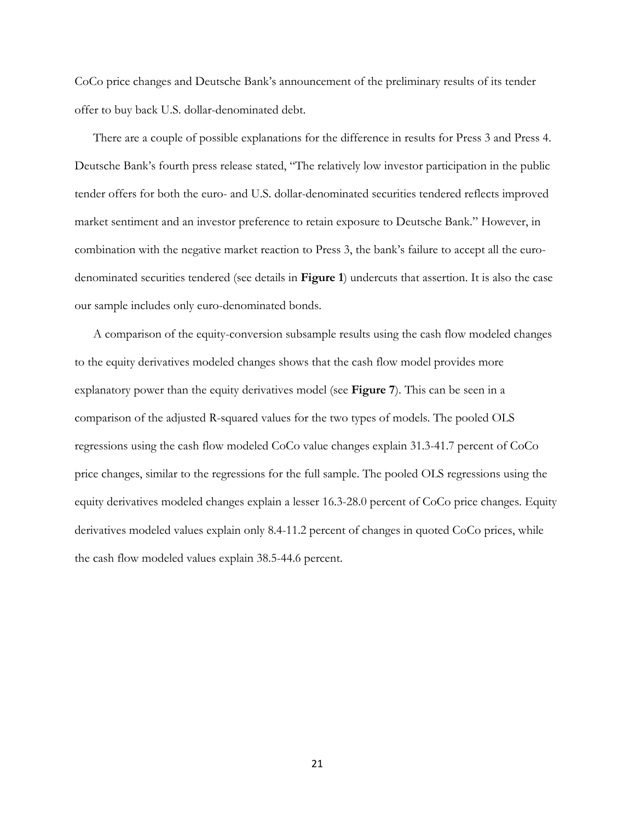CoCo price changes and Deutsche Bank's announcement of the preliminary results of its tender offer to buy back U.S. dollar-denominated debt.

There are a couple of possible explanations for the difference in results for Press 3 and Press 4. Deutsche Bank's fourth press release stated, "The relatively low investor participation in the public tender offers for both the euro- and U.S. dollar-denominated securities tendered reflects improved market sentiment and an investor preference to retain exposure to Deutsche Bank." However, in combination with the negative market reaction to Press 3, the bank's failure to accept all the eurodenominated securities tendered (see details in **Figure 1**) undercuts that assertion. It is also the case our sample includes only euro-denominated bonds.

A comparison of the equity-conversion subsample results using the cash flow modeled changes to the equity derivatives modeled changes shows that the cash flow model provides more explanatory power than the equity derivatives model (see **Figure 7**). This can be seen in a comparison of the adjusted R-squared values for the two types of models. The pooled OLS regressions using the cash flow modeled CoCo value changes explain 31.3-41.7 percent of CoCo price changes, similar to the regressions for the full sample. The pooled OLS regressions using the equity derivatives modeled changes explain a lesser 16.3-28.0 percent of CoCo price changes. Equity derivatives modeled values explain only 8.4-11.2 percent of changes in quoted CoCo prices, while the cash flow modeled values explain 38.5-44.6 percent.

21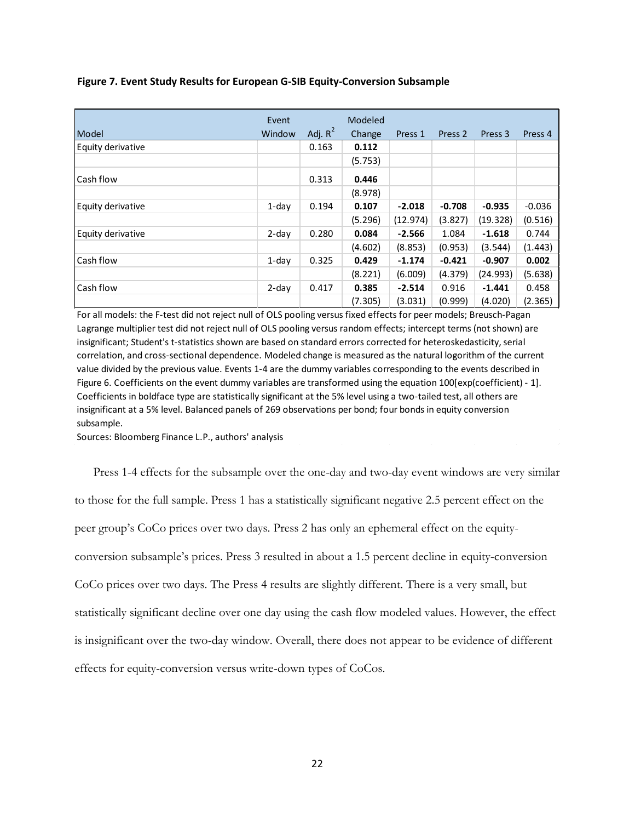|                   | Event    |            | Modeled |          |                    |                    |                    |
|-------------------|----------|------------|---------|----------|--------------------|--------------------|--------------------|
| <b>Model</b>      | Window   | Adj. $R^2$ | Change  | Press 1  | Press <sub>2</sub> | Press <sub>3</sub> | Press <sub>4</sub> |
| Equity derivative |          | 0.163      | 0.112   |          |                    |                    |                    |
|                   |          |            | (5.753) |          |                    |                    |                    |
| <b>ICash flow</b> |          | 0.313      | 0.446   |          |                    |                    |                    |
|                   |          |            | (8.978) |          |                    |                    |                    |
| Equity derivative | $1$ -day | 0.194      | 0.107   | $-2.018$ | $-0.708$           | $-0.935$           | $-0.036$           |
|                   |          |            | (5.296) | (12.974) | (3.827)            | (19.328)           | (0.516)            |
| Equity derivative | $2$ -day | 0.280      | 0.084   | $-2.566$ | 1.084              | $-1.618$           | 0.744              |
|                   |          |            | (4.602) | (8.853)  | (0.953)            | (3.544)            | (1.443)            |
| <b>Cash flow</b>  | $1$ -day | 0.325      | 0.429   | $-1.174$ | $-0.421$           | $-0.907$           | 0.002              |
|                   |          |            | (8.221) | (6.009)  | (4.379)            | (24.993)           | (5.638)            |
| lCash flow        | $2$ -day | 0.417      | 0.385   | $-2.514$ | 0.916              | $-1.441$           | 0.458              |
|                   |          |            | (7.305) | (3.031)  | (0.999)            | (4.020)            | (2.365)            |

#### **Figure 7. Event Study Results for European G-SIB Equity-Conversion Subsample**

For all models: the F-test did not reject null of OLS pooling versus fixed effects for peer models; Breusch-Pagan Lagrange multiplier test did not reject null of OLS pooling versus random effects; intercept terms (not shown) are insignificant; Student's t-statistics shown are based on standard errors corrected for heteroskedasticity, serial correlation, and cross-sectional dependence. Modeled change is measured as the natural logorithm of the current value divided by the previous value. Events 1-4 are the dummy variables corresponding to the events described in Figure 6. Coefficients on the event dummy variables are transformed using the equation 100[exp(coefficient) - 1]. Coefficients in boldface type are statistically significant at the 5% level using a two-tailed test, all others are insignificant at a 5% level. Balanced panels of 269 observations per bond; four bonds in equity conversion subsample.

Sources: Bloomberg Finance L.P., authors' analysis

Press 1-4 effects for the subsample over the one-day and two-day event windows are very similar to those for the full sample. Press 1 has a statistically significant negative 2.5 percent effect on the peer group's CoCo prices over two days. Press 2 has only an ephemeral effect on the equityconversion subsample's prices. Press 3 resulted in about a 1.5 percent decline in equity-conversion CoCo prices over two days. The Press 4 results are slightly different. There is a very small, but statistically significant decline over one day using the cash flow modeled values. However, the effect is insignificant over the two-day window. Overall, there does not appear to be evidence of different effects for equity-conversion versus write-down types of CoCos.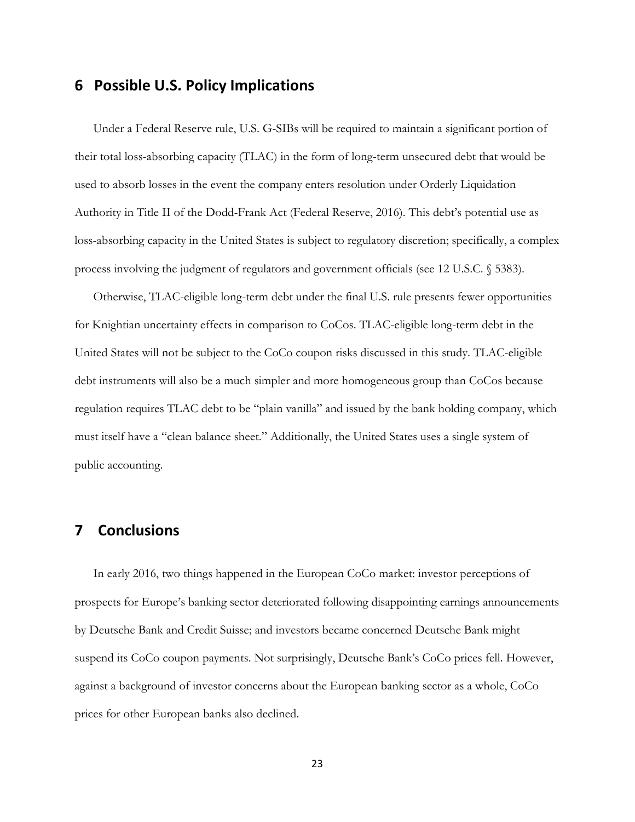## **6 Possible U.S. Policy Implications**

Under a Federal Reserve rule, U.S. G-SIBs will be required to maintain a significant portion of their total loss-absorbing capacity (TLAC) in the form of long-term unsecured debt that would be used to absorb losses in the event the company enters resolution under Orderly Liquidation Authority in Title II of the Dodd-Frank Act (Federal Reserve, 2016). This debt's potential use as loss-absorbing capacity in the United States is subject to regulatory discretion; specifically, a complex process involving the judgment of regulators and government officials (see 12 U.S.C. § 5383).

Otherwise, TLAC-eligible long-term debt under the final U.S. rule presents fewer opportunities for Knightian uncertainty effects in comparison to CoCos. TLAC-eligible long-term debt in the United States will not be subject to the CoCo coupon risks discussed in this study. TLAC-eligible debt instruments will also be a much simpler and more homogeneous group than CoCos because regulation requires TLAC debt to be "plain vanilla" and issued by the bank holding company, which must itself have a "clean balance sheet." Additionally, the United States uses a single system of public accounting.

## **7 Conclusions**

In early 2016, two things happened in the European CoCo market: investor perceptions of prospects for Europe's banking sector deteriorated following disappointing earnings announcements by Deutsche Bank and Credit Suisse; and investors became concerned Deutsche Bank might suspend its CoCo coupon payments. Not surprisingly, Deutsche Bank's CoCo prices fell. However, against a background of investor concerns about the European banking sector as a whole, CoCo prices for other European banks also declined.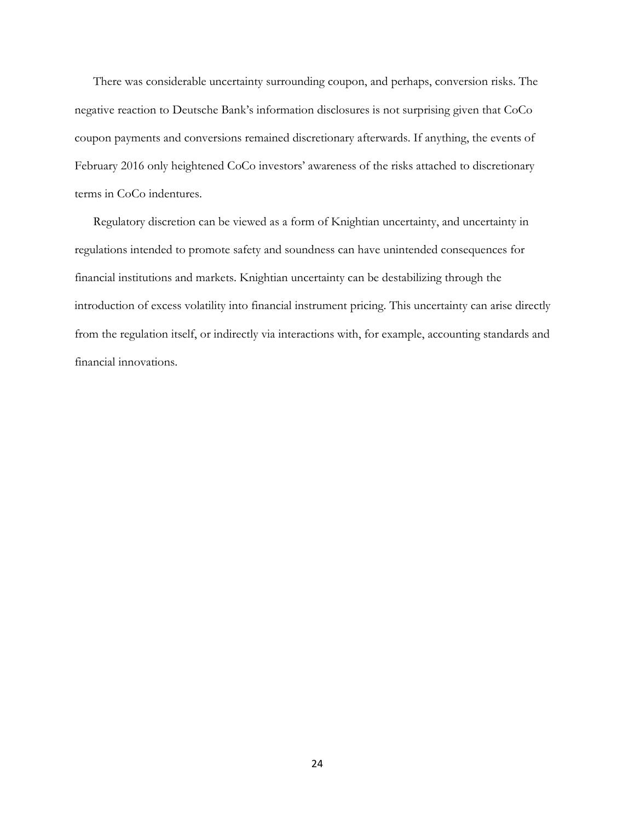There was considerable uncertainty surrounding coupon, and perhaps, conversion risks. The negative reaction to Deutsche Bank's information disclosures is not surprising given that CoCo coupon payments and conversions remained discretionary afterwards. If anything, the events of February 2016 only heightened CoCo investors' awareness of the risks attached to discretionary terms in CoCo indentures.

Regulatory discretion can be viewed as a form of Knightian uncertainty, and uncertainty in regulations intended to promote safety and soundness can have unintended consequences for financial institutions and markets. Knightian uncertainty can be destabilizing through the introduction of excess volatility into financial instrument pricing. This uncertainty can arise directly from the regulation itself, or indirectly via interactions with, for example, accounting standards and financial innovations.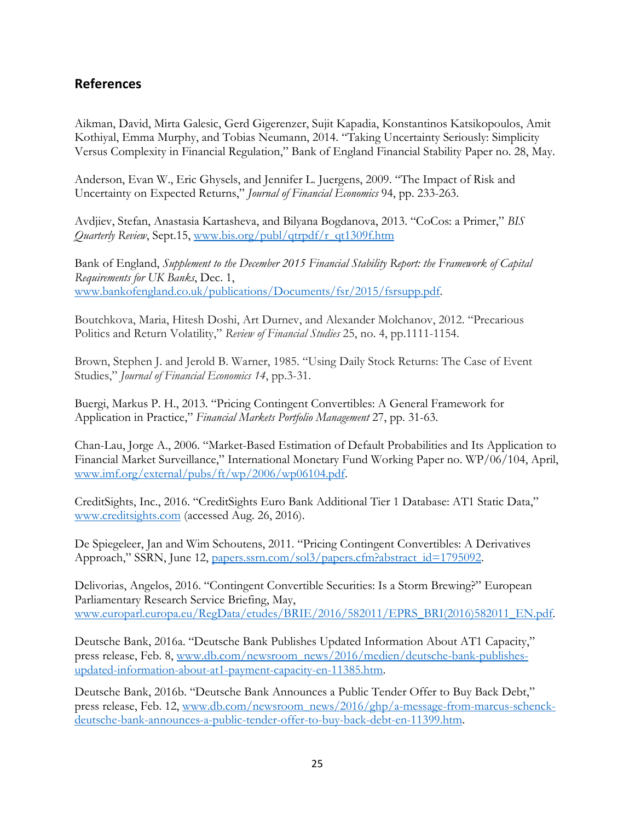## **References**

Aikman, David, Mirta Galesic, Gerd Gigerenzer, Sujit Kapadia, Konstantinos Katsikopoulos, Amit Kothiyal, Emma Murphy, and Tobias Neumann, 2014. "Taking Uncertainty Seriously: Simplicity Versus Complexity in Financial Regulation," Bank of England Financial Stability Paper no. 28, May.

Anderson, Evan W., Eric Ghysels, and Jennifer L. Juergens, 2009. "The Impact of Risk and Uncertainty on Expected Returns," *Journal of Financial Economics* 94, pp. 233-263.

Avdjiev, Stefan, Anastasia Kartasheva, and Bilyana Bogdanova, 2013. "CoCos: a Primer," *BIS Quarterly Review*, Sept.15, [www.bis.org/publ/qtrpdf/r\\_qt1309f.htm](https://inside.ofr.treas.gov/do/OFR/Research/Edits%20in%20Progress/Editing%20Assignments/www.bis.org/publ/qtrpdf/r_qt1309f.htm)

Bank of England, *Supplement to the December 2015 Financial Stability Report: the Framework of Capital Requirements for UK Banks*, Dec. 1, [www.bankofengland.co.uk/publications/Documents/fsr/2015/fsrsupp.pdf.](https://inside.ofr.treas.gov/do/OFR/Research/Edits%20in%20Progress/Editing%20Assignments/www.bankofengland.co.uk/publications/Documents/fsr/2015/fsrsupp.pdf)

Boutchkova, Maria, Hitesh Doshi, Art Durnev, and Alexander Molchanov, 2012. "Precarious Politics and Return Volatility," *Review of Financial Studies* 25, no. 4, pp.1111-1154.

Brown, Stephen J. and Jerold B. Warner, 1985. "Using Daily Stock Returns: The Case of Event Studies," *Journal of Financial Economics 14*, pp.3-31.

Buergi, Markus P. H., 2013. "Pricing Contingent Convertibles: A General Framework for Application in Practice," *Financial Markets Portfolio Management* 27, pp. 31-63.

Chan-Lau, Jorge A., 2006. "Market-Based Estimation of Default Probabilities and Its Application to Financial Market Surveillance," International Monetary Fund Working Paper no. WP/06/104, April, [www.imf.org/external/pubs/ft/wp/2006/wp06104.pdf.](http://www.imf.org/external/pubs/ft/wp/2006/wp06104.pdf)

CreditSights, Inc., 2016. "CreditSights Euro Bank Additional Tier 1 Database: AT1 Static Data," [www.creditsights.com](http://www.creditsights.com/) (accessed Aug. 26, 2016).

De Spiegeleer, Jan and Wim Schoutens, 2011. "Pricing Contingent Convertibles: A Derivatives Approach," SSRN, June 12, [papers.ssrn.com/sol3/papers.cfm?abstract\\_id=1795092.](https://papers.ssrn.com/sol3/papers.cfm?abstract_id=1795092)

Delivorias, Angelos, 2016. "Contingent Convertible Securities: Is a Storm Brewing?" European Parliamentary Research Service Briefing, May, [www.europarl.europa.eu/RegData/etudes/BRIE/2016/582011/EPRS\\_BRI\(2016\)582011\\_EN.pdf.](http://www.europarl.europa.eu/RegData/etudes/BRIE/2016/582011/EPRS_BRI(2016)582011_EN.pdf)

Deutsche Bank, 2016a. "Deutsche Bank Publishes Updated Information About AT1 Capacity," press release, Feb. 8, [www.db.com/newsroom\\_news/2016/medien/deutsche-bank-publishes](http://www.db.com/newsroom_news/2016/medien/deutsche-bank-publishes-updated-information-about-at1-payment-capacity-en-11385.htm)[updated-information-about-at1-payment-capacity-en-11385.htm.](http://www.db.com/newsroom_news/2016/medien/deutsche-bank-publishes-updated-information-about-at1-payment-capacity-en-11385.htm)

Deutsche Bank, 2016b. "Deutsche Bank Announces a Public Tender Offer to Buy Back Debt," press release, Feb. 12, [www.db.com/newsroom\\_news/2016/ghp/a-message-from-marcus-schenck](http://www.db.com/newsroom_news/2016/ghp/a-message-from-marcus-schenck-deutsche-bank-announces-a-public-tender-offer-to-buy-back-debt-en-11399.htm)[deutsche-bank-announces-a-public-tender-offer-to-buy-back-debt-en-11399.htm.](http://www.db.com/newsroom_news/2016/ghp/a-message-from-marcus-schenck-deutsche-bank-announces-a-public-tender-offer-to-buy-back-debt-en-11399.htm)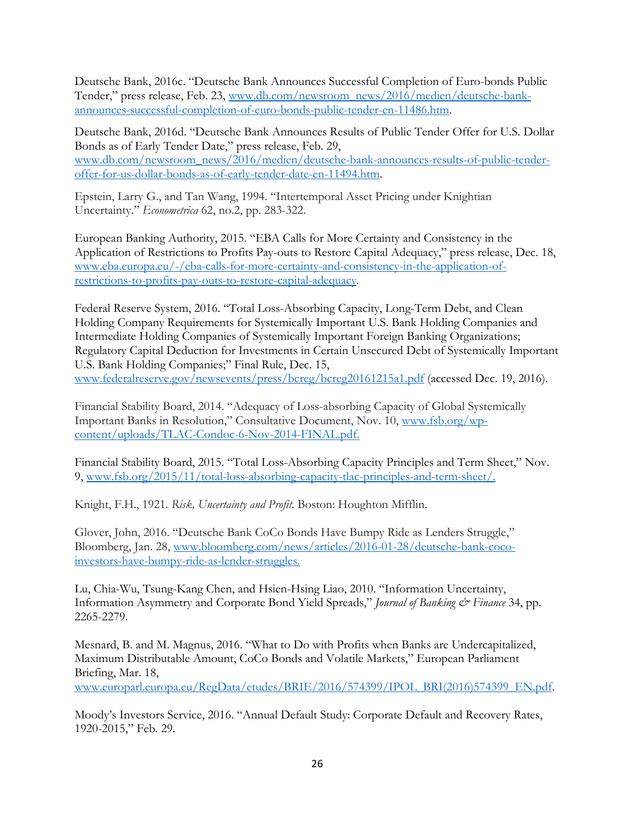Deutsche Bank, 2016c. "Deutsche Bank Announces Successful Completion of Euro-bonds Public Tender," press release, Feb. 23, [www.db.com/newsroom\\_news/2016/medien/deutsche-bank](http://www.db.com/newsroom_news/2016/medien/deutsche-bank-announces-successful-completion-of-euro-bonds-public-tender-en-11486.htm)[announces-successful-completion-of-euro-bonds-public-tender-en-11486.htm.](http://www.db.com/newsroom_news/2016/medien/deutsche-bank-announces-successful-completion-of-euro-bonds-public-tender-en-11486.htm) 

Deutsche Bank, 2016d. "Deutsche Bank Announces Results of Public Tender Offer for U.S. Dollar Bonds as of Early Tender Date," press release, Feb. 29, [www.db.com/newsroom\\_news/2016/medien/deutsche-bank-announces-results-of-public-tender](http://www.db.com/newsroom_news/2016/medien/deutsche-bank-announces-results-of-public-tender-offer-for-us-dollar-bonds-as-of-early-tender-date-en-11494.htm)[offer-for-us-dollar-bonds-as-of-early-tender-date-en-11494.htm.](http://www.db.com/newsroom_news/2016/medien/deutsche-bank-announces-results-of-public-tender-offer-for-us-dollar-bonds-as-of-early-tender-date-en-11494.htm)

Epstein, Larry G., and Tan Wang, 1994. "Intertemporal Asset Pricing under Knightian Uncertainty." *Econometrica* 62, no.2, pp. 283-322.

European Banking Authority, 2015. "EBA Calls for More Certainty and Consistency in the Application of Restrictions to Profits Pay-outs to Restore Capital Adequacy," press release, Dec. 18, [www.eba.europa.eu/-/eba-calls-for-more-certainty-and-consistency-in-the-application-of](https://inside.ofr.treas.gov/do/OFR/Research/Edits%20in%20Progress/Editing%20Assignments/www.eba.europa.eu/-/eba-calls-for-more-certainty-and-consistency-in-the-application-of-restrictions-to-profits-pay-outs-to-restore-capital-adequacy)[restrictions-to-profits-pay-outs-to-restore-capital-adequacy.](https://inside.ofr.treas.gov/do/OFR/Research/Edits%20in%20Progress/Editing%20Assignments/www.eba.europa.eu/-/eba-calls-for-more-certainty-and-consistency-in-the-application-of-restrictions-to-profits-pay-outs-to-restore-capital-adequacy)

Federal Reserve System, 2016. "Total Loss-Absorbing Capacity, Long-Term Debt, and Clean Holding Company Requirements for Systemically Important U.S. Bank Holding Companies and Intermediate Holding Companies of Systemically Important Foreign Banking Organizations; Regulatory Capital Deduction for Investments in Certain Unsecured Debt of Systemically Important U.S. Bank Holding Companies;" Final Rule, Dec. 15, [www.federalreserve.gov/newsevents/press/bcreg/bcreg20161215a1.pdf](https://inside.ofr.treas.gov/do/OFR/Research/Edits%20in%20Progress/Editing%20Assignments/www.federalreserve.gov/newsevents/press/bcreg/bcreg20161215a1.pdf) (accessed Dec. 19, 2016).

Financial Stability Board, 2014. "Adequacy of Loss-absorbing Capacity of Global Systemically Important Banks in Resolution," Consultative Document, Nov. 10, [www.fsb.org/wp](http://www.fsb.org/wp-content/uploads/TLAC-Condoc-6-Nov-2014-FINAL.pdf)[content/uploads/TLAC-Condoc-6-Nov-2014-FINAL.pdf.](http://www.fsb.org/wp-content/uploads/TLAC-Condoc-6-Nov-2014-FINAL.pdf)

Financial Stability Board, 2015. "Total Loss-Absorbing Capacity Principles and Term Sheet," Nov. 9, [www.fsb.org/2015/11/total-loss-absorbing-capacity-tlac-principles-and-term-sheet/.](http://www.fsb.org/2015/11/total-loss-absorbing-capacity-tlac-principles-and-term-sheet/)

Knight, F.H., 1921. *Risk, Uncertainty and Profit*. Boston: Houghton Mifflin.

Glover, John, 2016. "Deutsche Bank CoCo Bonds Have Bumpy Ride as Lenders Struggle," Bloomberg, Jan. 28, [www.bloomberg.com/news/articles/2016-01-28/deutsche-bank-coco](http://www.bloomberg.com/news/articles/2016-01-28/deutsche-bank-coco-investors-have-bumpy-ride-as-lender-struggles)[investors-have-bumpy-ride-as-lender-struggles.](http://www.bloomberg.com/news/articles/2016-01-28/deutsche-bank-coco-investors-have-bumpy-ride-as-lender-struggles)

Lu, Chia-Wu, Tsung-Kang Chen, and Hsien-Hsing Liao, 2010. "Information Uncertainty, Information Asymmetry and Corporate Bond Yield Spreads," *Journal of Banking & Finance* 34, pp. 2265-2279.

Mesnard, B. and M. Magnus, 2016. "What to Do with Profits when Banks are Undercapitalized, Maximum Distributable Amount, CoCo Bonds and Volatile Markets," European Parliament Briefing, Mar. 18,

[www.europarl.europa.eu/RegData/etudes/BRIE/2016/574399/IPOL\\_BRI\(2016\)574399\\_EN.pdf.](http://www.europarl.europa.eu/RegData/etudes/BRIE/2016/574399/IPOL_BRI(2016)574399_EN.pdf)

Moody's Investors Service, 2016. "Annual Default Study: Corporate Default and Recovery Rates, 1920-2015," Feb. 29.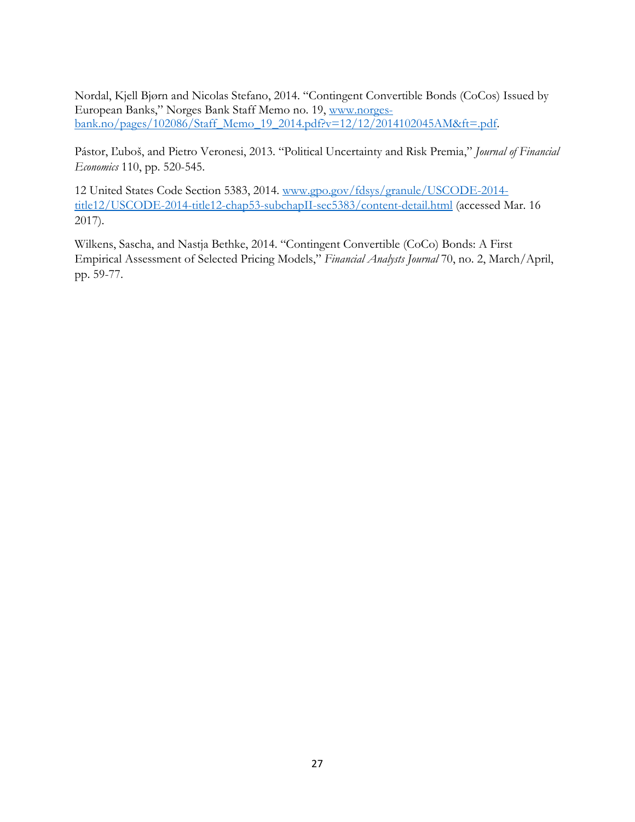Nordal, Kjell Bjørn and Nicolas Stefano, 2014. "Contingent Convertible Bonds (CoCos) Issued by European Banks," Norges Bank Staff Memo no. 19, [www.norges](http://www.norges-bank.no/pages/102086/Staff_Memo_19_2014.pdf?v=12/12/2014102045AM&ft=.pdf)[bank.no/pages/102086/Staff\\_Memo\\_19\\_2014.pdf?v=12/12/2014102045AM&ft=.pdf.](http://www.norges-bank.no/pages/102086/Staff_Memo_19_2014.pdf?v=12/12/2014102045AM&ft=.pdf) 

Pástor, Ľuboš, and Pietro Veronesi, 2013. "Political Uncertainty and Risk Premia," *Journal of Financial Economics* 110, pp. 520-545.

12 United States Code Section 5383, 2014. [www.gpo.gov/fdsys/granule/USCODE-2014](http://www.gpo.gov/fdsys/granule/USCODE-2014-title12/USCODE-2014-title12-chap53-subchapII-sec5383/content-detail.html) [title12/USCODE-2014-title12-chap53-subchapII-sec5383/content-detail.html](http://www.gpo.gov/fdsys/granule/USCODE-2014-title12/USCODE-2014-title12-chap53-subchapII-sec5383/content-detail.html) (accessed Mar. 16 2017).

Wilkens, Sascha, and Nastja Bethke, 2014. "Contingent Convertible (CoCo) Bonds: A First Empirical Assessment of Selected Pricing Models," *Financial Analysts Journal* 70, no. 2, March/April, pp. 59-77.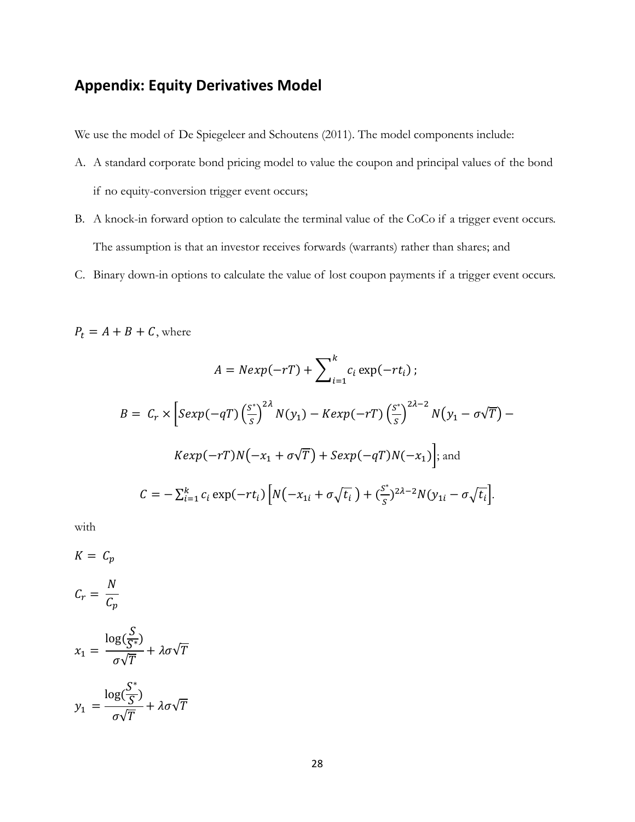## **Appendix: Equity Derivatives Model**

We use the model of De Spiegeleer and Schoutens (2011). The model components include:

- A. A standard corporate bond pricing model to value the coupon and principal values of the bond if no equity-conversion trigger event occurs;
- B. A knock-in forward option to calculate the terminal value of the CoCo if a trigger event occurs. The assumption is that an investor receives forwards (warrants) rather than shares; and
- C. Binary down-in options to calculate the value of lost coupon payments if a trigger event occurs.

 $P_t = A + B + C$ , where

$$
A = N \exp(-rT) + \sum_{i=1}^{k} c_i \exp(-rt_i);
$$
  
\n
$$
B = C_r \times \left[ \operatorname{Sexp}(-qT) \left( \frac{s^*}{s} \right)^{2\lambda} N(y_1) - \operatorname{Kexp}(-rT) \left( \frac{s^*}{s} \right)^{2\lambda - 2} N(y_1 - \sigma \sqrt{T}) - K \exp(-rT)N(-x_1 + \sigma \sqrt{T}) + \operatorname{Sexp}(-qT)N(-x_1) \right];
$$
and  
\n
$$
C = -\sum_{i=1}^{k} c_i \exp(-rt_i) \left[ N(-x_{1i} + \sigma \sqrt{t_i}) + \left( \frac{s^*}{s} \right)^{2\lambda - 2} N(y_{1i} - \sigma \sqrt{t_i} \right].
$$

with

 $K = C_p$  $C_r =$  $\overline{N}$  $\mathcal{C}_{p}$  $_1 =$ log( $\overline{S^*}$ )  $\frac{\partial}{\partial \sigma \sqrt{T}} + \lambda \sigma \sqrt{T}$  $y_1 = \frac{\log(\frac{S^*}{S})}{\pi\sqrt{T}}$ )  $\frac{\partial}{\partial \sigma \sqrt{T}} + \lambda \sigma \sqrt{T}$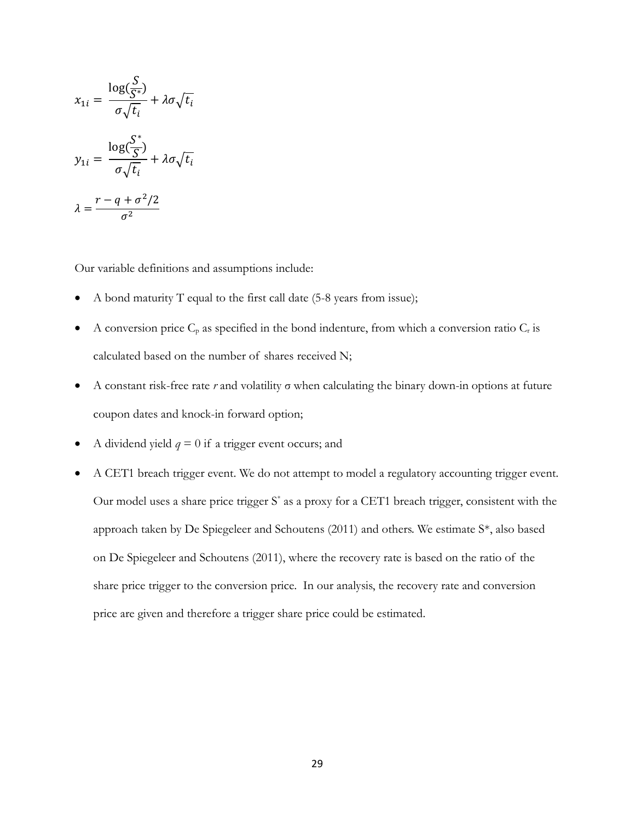$$
x_{1i} = \frac{\log(\frac{S}{S^*})}{\sigma \sqrt{t_i}} + \lambda \sigma \sqrt{t_i}
$$

$$
y_{1i} = \frac{\log(\frac{S^*}{S})}{\sigma \sqrt{t_i}} + \lambda \sigma \sqrt{t_i}
$$

$$
\lambda = \frac{r - q + \sigma^2 / 2}{\sigma^2}
$$

Our variable definitions and assumptions include:

- A bond maturity T equal to the first call date (5-8 years from issue);
- A conversion price  $C_p$  as specified in the bond indenture, from which a conversion ratio  $C_r$  is calculated based on the number of shares received N;
- A constant risk-free rate *r* and volatility σ when calculating the binary down-in options at future coupon dates and knock-in forward option;
- A dividend yield  $q = 0$  if a trigger event occurs; and
- A CET1 breach trigger event. We do not attempt to model a regulatory accounting trigger event. Our model uses a share price trigger  $S^*$  as a proxy for a CET1 breach trigger, consistent with the approach taken by De Spiegeleer and Schoutens (2011) and others. We estimate S\*, also based on De Spiegeleer and Schoutens (2011), where the recovery rate is based on the ratio of the share price trigger to the conversion price. In our analysis, the recovery rate and conversion price are given and therefore a trigger share price could be estimated.